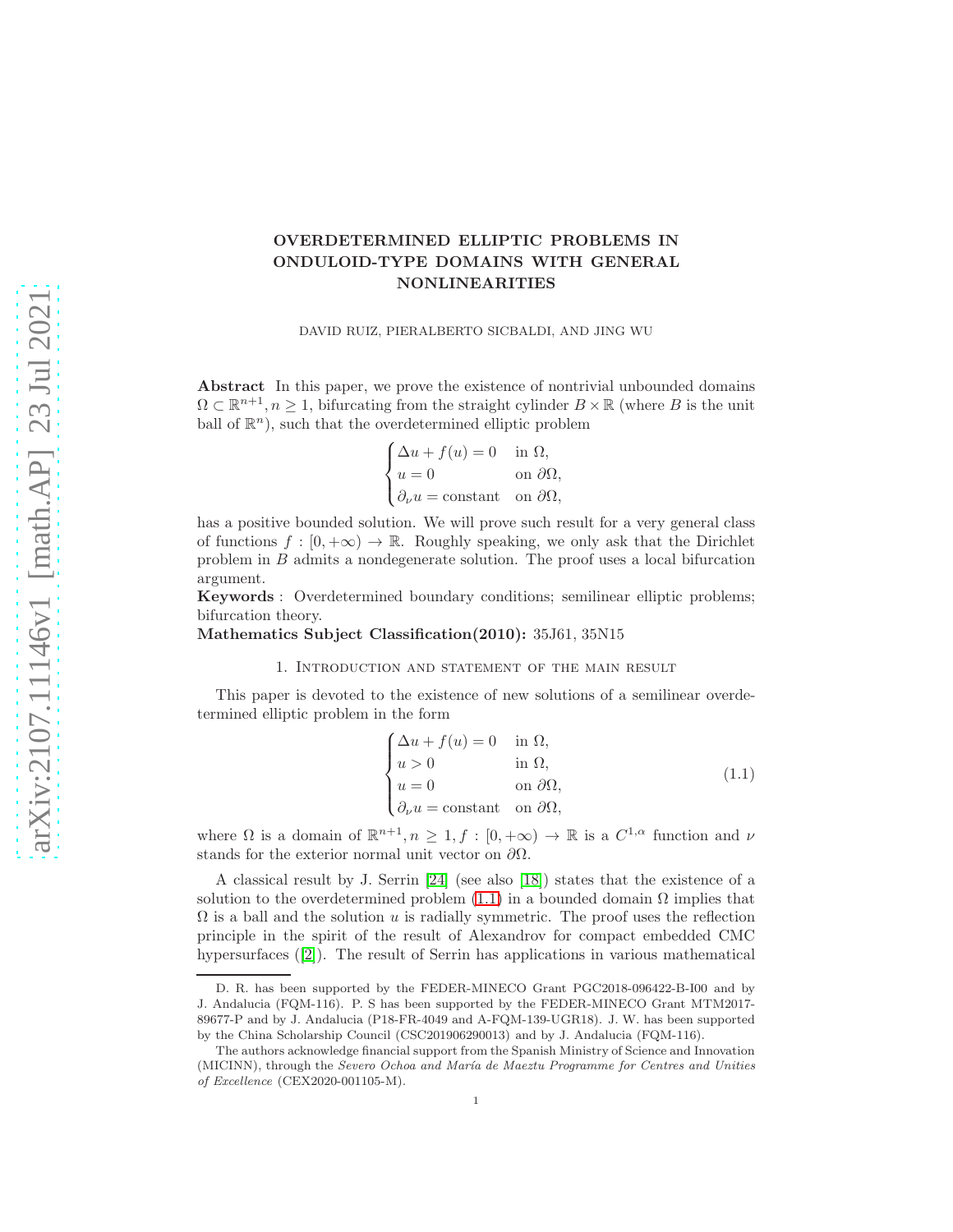# OVERDETERMINED ELLIPTIC PROBLEMS IN ONDULOID-TYPE DOMAINS WITH GENERAL NONLINEARITIES

DAVID RUIZ, PIERALBERTO SICBALDI, AND JING WU

Abstract In this paper, we prove the existence of nontrivial unbounded domains  $\Omega \subset \mathbb{R}^{n+1}, n \geq 1$ , bifurcating from the straight cylinder  $B \times \mathbb{R}$  (where B is the unit ball of  $\mathbb{R}^n$ ), such that the overdetermined elliptic problem

$$
\begin{cases} \Delta u + f(u) = 0 & \text{in } \Omega, \\ u = 0 & \text{on } \partial \Omega, \\ \partial_{\nu} u = \text{constant} & \text{on } \partial \Omega, \end{cases}
$$

has a positive bounded solution. We will prove such result for a very general class of functions  $f : [0, +\infty) \to \mathbb{R}$ . Roughly speaking, we only ask that the Dirichlet problem in B admits a nondegenerate solution. The proof uses a local bifurcation argument.

Keywords : Overdetermined boundary conditions; semilinear elliptic problems; bifurcation theory.

Mathematics Subject Classification(2010): 35J61, 35N15

### 1. Introduction and statement of the main result

This paper is devoted to the existence of new solutions of a semilinear overdetermined elliptic problem in the form

<span id="page-0-0"></span>
$$
\begin{cases}\n\Delta u + f(u) = 0 & \text{in } \Omega, \\
u > 0 & \text{in } \Omega, \\
u = 0 & \text{on } \partial\Omega, \\
\partial_{\nu} u = \text{constant} & \text{on } \partial\Omega,\n\end{cases}
$$
\n(1.1)

where  $\Omega$  is a domain of  $\mathbb{R}^{n+1}, n \geq 1, f : [0, +\infty) \to \mathbb{R}$  is a  $C^{1,\alpha}$  function and  $\nu$ stands for the exterior normal unit vector on  $\partial\Omega$ .

A classical result by J. Serrin [\[24\]](#page-19-0) (see also [\[18\]](#page-19-1)) states that the existence of a solution to the overdetermined problem  $(1.1)$  in a bounded domain  $\Omega$  implies that  $\Omega$  is a ball and the solution u is radially symmetric. The proof uses the reflection principle in the spirit of the result of Alexandrov for compact embedded CMC hypersurfaces([\[2\]](#page-18-0)). The result of Serrin has applications in various mathematical

D. R. has been supported by the FEDER-MINECO Grant PGC2018-096422-B-I00 and by J. Andalucia (FQM-116). P. S has been supported by the FEDER-MINECO Grant MTM2017- 89677-P and by J. Andalucia (P18-FR-4049 and A-FQM-139-UGR18). J. W. has been supported by the China Scholarship Council (CSC201906290013) and by J. Andalucia (FQM-116).

The authors acknowledge financial support from the Spanish Ministry of Science and Innovation (MICINN), through the Severo Ochoa and María de Maeztu Programme for Centres and Unities of Excellence (CEX2020-001105-M).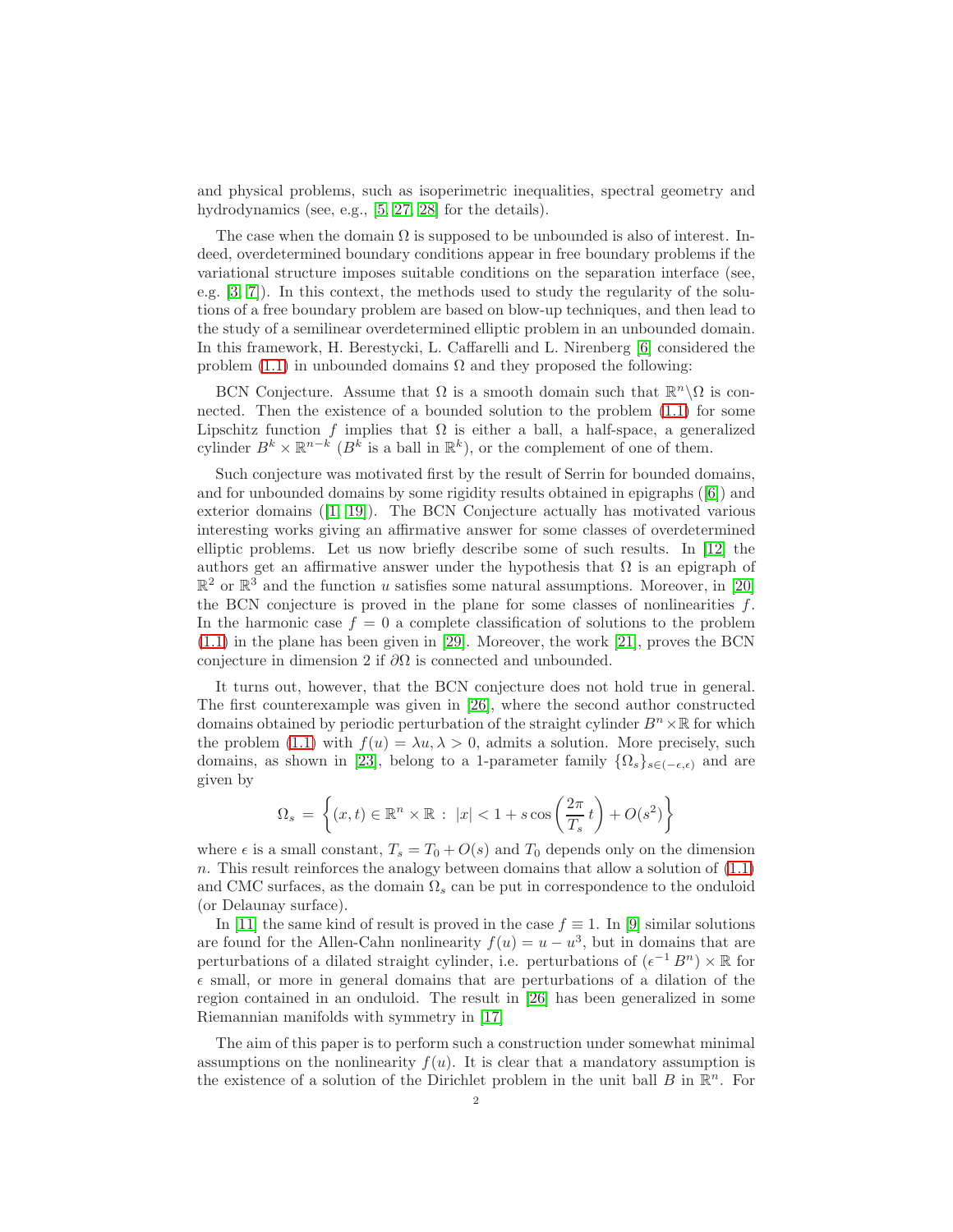and physical problems, such as isoperimetric inequalities, spectral geometry and hydrodynamics (see, e.g., [\[5,](#page-18-1) [27,](#page-19-2) [28\]](#page-19-3) for the details).

The case when the domain  $\Omega$  is supposed to be unbounded is also of interest. Indeed, overdetermined boundary conditions appear in free boundary problems if the variational structure imposes suitable conditions on the separation interface (see, e.g. [\[3,](#page-18-2) [7\]](#page-18-3)). In this context, the methods used to study the regularity of the solutions of a free boundary problem are based on blow-up techniques, and then lead to the study of a semilinear overdetermined elliptic problem in an unbounded domain. In this framework, H. Berestycki, L. Caffarelli and L. Nirenberg [\[6\]](#page-18-4) considered the problem  $(1.1)$  in unbounded domains  $\Omega$  and they proposed the following:

BCN Conjecture. Assume that  $\Omega$  is a smooth domain such that  $\mathbb{R}^n\backslash\Omega$  is connected. Then the existence of a bounded solution to the problem [\(1.1\)](#page-0-0) for some Lipschitz function f implies that  $\Omega$  is either a ball, a half-space, a generalized cylinder  $B^k \times \mathbb{R}^{n-k}$  ( $B^k$  is a ball in  $\mathbb{R}^k$ ), or the complement of one of them.

Such conjecture was motivated first by the result of Serrin for bounded domains, andfor unbounded domains by some rigidity results obtained in epigraphs  $(|6|)$  and exterior domains([\[1,](#page-18-5) [19\]](#page-19-4)). The BCN Conjecture actually has motivated various interesting works giving an affirmative answer for some classes of overdetermined elliptic problems. Let us now briefly describe some of such results. In [\[12\]](#page-19-5) the authors get an affirmative answer under the hypothesis that  $\Omega$  is an epigraph of  $\mathbb{R}^2$  or  $\mathbb{R}^3$  and the function u satisfies some natural assumptions. Moreover, in [\[20\]](#page-19-6) the BCN conjecture is proved in the plane for some classes of nonlinearities  $f$ . In the harmonic case  $f = 0$  a complete classification of solutions to the problem [\(1.1\)](#page-0-0) in the plane has been given in [\[29\]](#page-19-7). Moreover, the work [\[21\]](#page-19-8), proves the BCN conjecture in dimension 2 if  $\partial\Omega$  is connected and unbounded.

It turns out, however, that the BCN conjecture does not hold true in general. The first counterexample was given in [\[26\]](#page-19-9), where the second author constructed domains obtained by periodic perturbation of the straight cylinder  $B<sup>n</sup> \times \mathbb{R}$  for which the problem [\(1.1\)](#page-0-0) with  $f(u) = \lambda u, \lambda > 0$ , admits a solution. More precisely, such domains, as shown in [\[23\]](#page-19-10), belong to a 1-parameter family  $\{\Omega_s\}_{s\in(-\epsilon,\epsilon)}$  and are given by

$$
\Omega_s = \left\{ (x, t) \in \mathbb{R}^n \times \mathbb{R} : |x| < 1 + s \cos\left(\frac{2\pi}{T_s}t\right) + O(s^2) \right\}
$$

where  $\epsilon$  is a small constant,  $T_s = T_0 + O(s)$  and  $T_0$  depends only on the dimension n. This result reinforces the analogy between domains that allow a solution of [\(1.1\)](#page-0-0) and CMC surfaces, as the domain  $\Omega_s$  can be put in correspondence to the onduloid (or Delaunay surface).

In [\[11\]](#page-18-6) the same kind of result is proved in the case  $f \equiv 1$ . In [\[9\]](#page-18-7) similar solutions are found for the Allen-Cahn nonlinearity  $f(u) = u - u^3$ , but in domains that are perturbations of a dilated straight cylinder, i.e. perturbations of  $(\epsilon^{-1} B^n) \times \mathbb{R}$  for  $\epsilon$  small, or more in general domains that are perturbations of a dilation of the region contained in an onduloid. The result in [\[26\]](#page-19-9) has been generalized in some Riemannian manifolds with symmetry in [\[17\]](#page-19-11)

The aim of this paper is to perform such a construction under somewhat minimal assumptions on the nonlinearity  $f(u)$ . It is clear that a mandatory assumption is the existence of a solution of the Dirichlet problem in the unit ball  $B$  in  $\mathbb{R}^n$ . For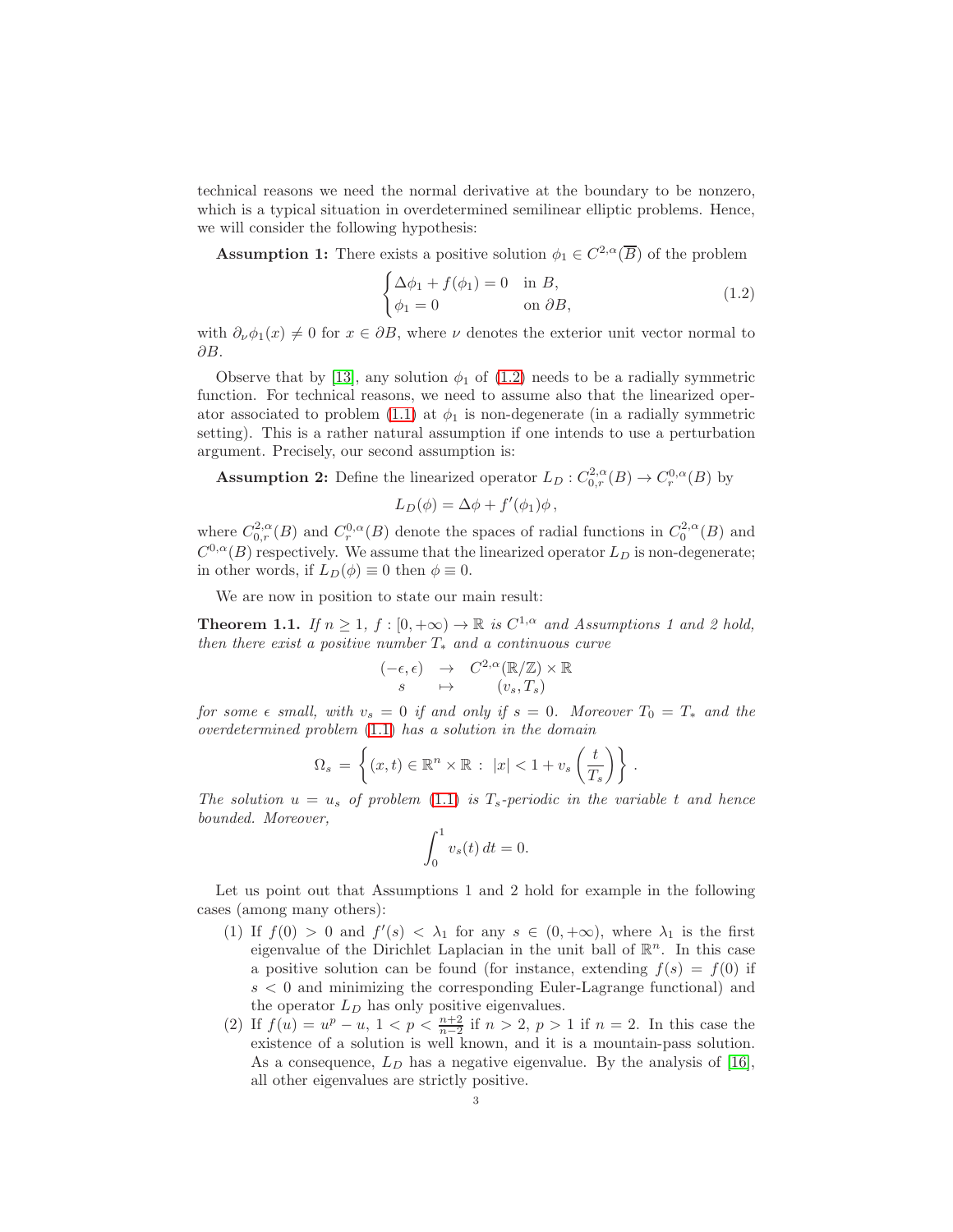technical reasons we need the normal derivative at the boundary to be nonzero, which is a typical situation in overdetermined semilinear elliptic problems. Hence, we will consider the following hypothesis:

**Assumption 1:** There exists a positive solution  $\phi_1 \in C^{2,\alpha}(\overline{B})$  of the problem

<span id="page-2-0"></span>
$$
\begin{cases} \Delta \phi_1 + f(\phi_1) = 0 & \text{in } B, \\ \phi_1 = 0 & \text{on } \partial B, \end{cases}
$$
 (1.2)

with  $\partial_{\nu}\phi_1(x) \neq 0$  for  $x \in \partial B$ , where  $\nu$  denotes the exterior unit vector normal to  $\partial B$ .

Observe that by [\[13\]](#page-19-12), any solution  $\phi_1$  of [\(1.2\)](#page-2-0) needs to be a radially symmetric function. For technical reasons, we need to assume also that the linearized oper-ator associated to problem [\(1.1\)](#page-0-0) at  $\phi_1$  is non-degenerate (in a radially symmetric setting). This is a rather natural assumption if one intends to use a perturbation argument. Precisely, our second assumption is:

**Assumption 2:** Define the linearized operator  $L_D: C^{2,\alpha}_{0,r}(B) \to C^{0,\alpha}_r(B)$  by

$$
L_D(\phi) = \Delta \phi + f'(\phi_1)\phi,
$$

where  $C_{0,r}^{2,\alpha}(B)$  and  $C_r^{0,\alpha}(B)$  denote the spaces of radial functions in  $C_0^{2,\alpha}(B)$  and  $C^{0,\alpha}(B)$  respectively. We assume that the linearized operator  $L_D$  is non-degenerate; in other words, if  $L_D(\phi) \equiv 0$  then  $\phi \equiv 0$ .

We are now in position to state our main result:

<span id="page-2-1"></span>**Theorem 1.1.** If  $n \geq 1$ ,  $f : [0, +\infty) \to \mathbb{R}$  is  $C^{1,\alpha}$  and Assumptions 1 and 2 hold, then there exist a positive number  $T_*$  and a continuous curve

$$
\begin{array}{rcl} (-\epsilon,\epsilon) & \to & C^{2,\alpha}(\mathbb{R}/\mathbb{Z}) \times \mathbb{R} \\ s & \mapsto & (v_s,T_s) \end{array}
$$

for some  $\epsilon$  small, with  $v_s = 0$  if and only if  $s = 0$ . Moreover  $T_0 = T_*$  and the overdetermined problem [\(1.1\)](#page-0-0) has a solution in the domain

$$
\Omega_s = \left\{ (x, t) \in \mathbb{R}^n \times \mathbb{R} : \ |x| < 1 + v_s \left( \frac{t}{T_s} \right) \right\} \, .
$$

The solution  $u = u_s$  of problem [\(1.1\)](#page-0-0) is  $T_s$ -periodic in the variable t and hence bounded. Moreover,

$$
\int_0^1 v_s(t) dt = 0.
$$

Let us point out that Assumptions 1 and 2 hold for example in the following cases (among many others):

- (1) If  $f(0) > 0$  and  $f'(s) < \lambda_1$  for any  $s \in (0, +\infty)$ , where  $\lambda_1$  is the first eigenvalue of the Dirichlet Laplacian in the unit ball of  $\mathbb{R}^n$ . In this case a positive solution can be found (for instance, extending  $f(s) = f(0)$  if  $s < 0$  and minimizing the corresponding Euler-Lagrange functional) and the operator  $L<sub>D</sub>$  has only positive eigenvalues.
- (2) If  $f(u) = u^p u$ ,  $1 < p < \frac{n+2}{n-2}$  if  $n > 2$ ,  $p > 1$  if  $n = 2$ . In this case the existence of a solution is well known, and it is a mountain-pass solution. As a consequence,  $L<sub>D</sub>$  has a negative eigenvalue. By the analysis of [\[16\]](#page-19-13), all other eigenvalues are strictly positive.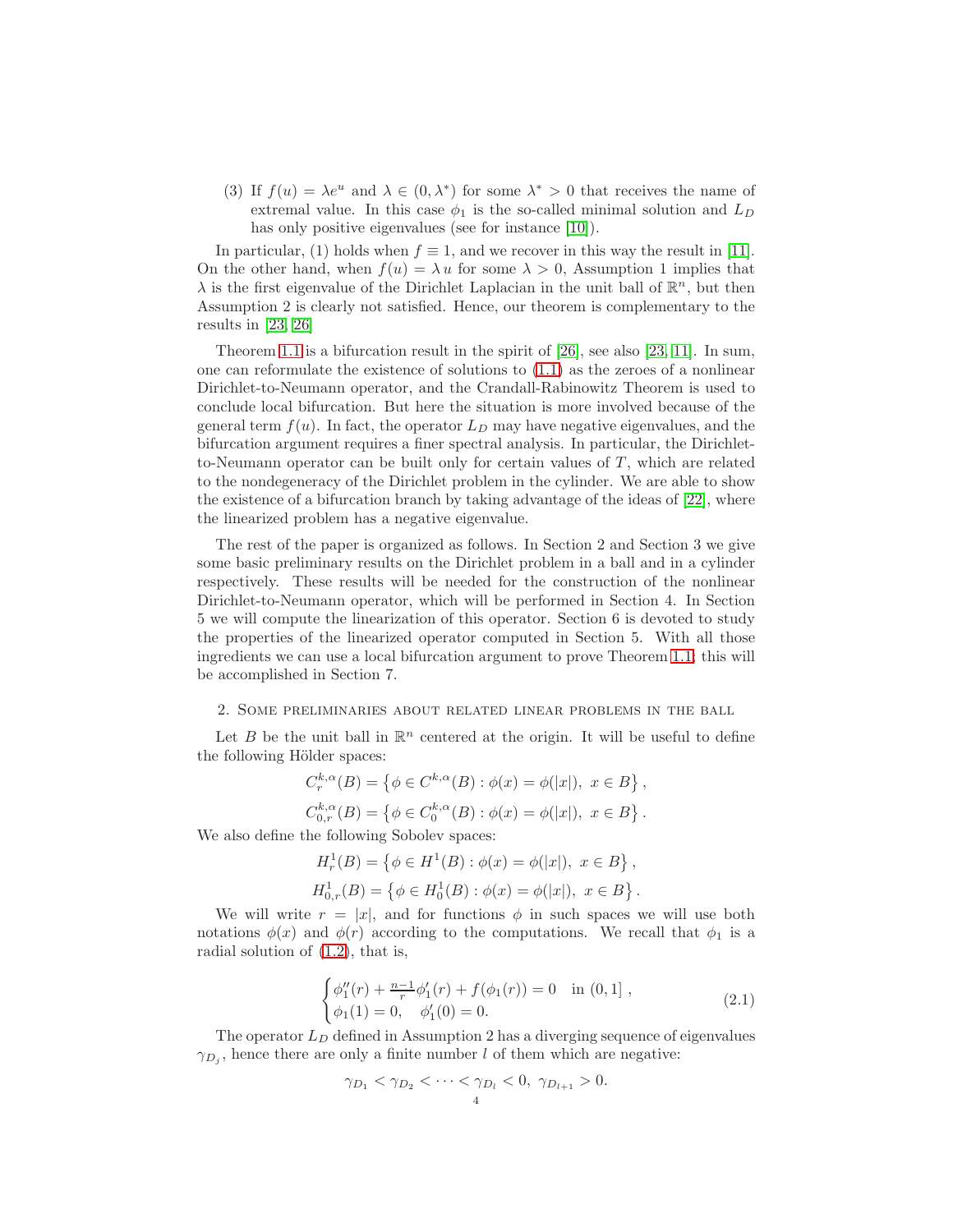(3) If  $f(u) = \lambda e^u$  and  $\lambda \in (0, \lambda^*)$  for some  $\lambda^* > 0$  that receives the name of extremal value. In this case  $\phi_1$  is the so-called minimal solution and  $L_D$ has only positive eigenvalues (see for instance [\[10\]](#page-18-8)).

In particular, (1) holds when  $f \equiv 1$ , and we recover in this way the result in [\[11\]](#page-18-6). On the other hand, when  $f(u) = \lambda u$  for some  $\lambda > 0$ , Assumption 1 implies that  $\lambda$  is the first eigenvalue of the Dirichlet Laplacian in the unit ball of  $\mathbb{R}^n$ , but then Assumption 2 is clearly not satisfied. Hence, our theorem is complementary to the results in [\[23,](#page-19-10) [26\]](#page-19-9)

Theorem [1.1](#page-2-1) is a bifurcation result in the spirit of [\[26\]](#page-19-9), see also [\[23,](#page-19-10) [11\]](#page-18-6). In sum, one can reformulate the existence of solutions to [\(1.1\)](#page-0-0) as the zeroes of a nonlinear Dirichlet-to-Neumann operator, and the Crandall-Rabinowitz Theorem is used to conclude local bifurcation. But here the situation is more involved because of the general term  $f(u)$ . In fact, the operator  $L<sub>D</sub>$  may have negative eigenvalues, and the bifurcation argument requires a finer spectral analysis. In particular, the Dirichletto-Neumann operator can be built only for certain values of  $T$ , which are related to the nondegeneracy of the Dirichlet problem in the cylinder. We are able to show the existence of a bifurcation branch by taking advantage of the ideas of [\[22\]](#page-19-14), where the linearized problem has a negative eigenvalue.

The rest of the paper is organized as follows. In Section 2 and Section 3 we give some basic preliminary results on the Dirichlet problem in a ball and in a cylinder respectively. These results will be needed for the construction of the nonlinear Dirichlet-to-Neumann operator, which will be performed in Section 4. In Section 5 we will compute the linearization of this operator. Section 6 is devoted to study the properties of the linearized operator computed in Section 5. With all those ingredients we can use a local bifurcation argument to prove Theorem [1.1;](#page-2-1) this will be accomplished in Section 7.

### 2. Some preliminaries about related linear problems in the ball

Let B be the unit ball in  $\mathbb{R}^n$  centered at the origin. It will be useful to define the following Hölder spaces:

$$
C_r^{k,\alpha}(B) = \{ \phi \in C^{k,\alpha}(B) : \phi(x) = \phi(|x|), \ x \in B \},
$$
  

$$
C_{0,r}^{k,\alpha}(B) = \{ \phi \in C_0^{k,\alpha}(B) : \phi(x) = \phi(|x|), \ x \in B \}.
$$

We also define the following Sobolev spaces:

$$
H_r^1(B) = \{ \phi \in H^1(B) : \phi(x) = \phi(|x|), \ x \in B \},\
$$
  

$$
H_{0,r}^1(B) = \{ \phi \in H_0^1(B) : \phi(x) = \phi(|x|), \ x \in B \}.
$$

We will write  $r = |x|$ , and for functions  $\phi$  in such spaces we will use both notations  $\phi(x)$  and  $\phi(r)$  according to the computations. We recall that  $\phi_1$  is a radial solution of [\(1.2\)](#page-2-0), that is,

<span id="page-3-0"></span>
$$
\begin{cases}\n\phi_1''(r) + \frac{n-1}{r}\phi_1'(r) + f(\phi_1(r)) = 0 & \text{in } (0, 1], \\
\phi_1(1) = 0, \quad \phi_1'(0) = 0.\n\end{cases}
$$
\n(2.1)

The operator  $L_D$  defined in Assumption 2 has a diverging sequence of eigenvalues  $\gamma_{D_j}$ , hence there are only a finite number l of them which are negative:

$$
\gamma_{D_1} < \gamma_{D_2} < \cdots < \gamma_{D_l} < 0, \ \gamma_{D_{l+1}} > 0.
$$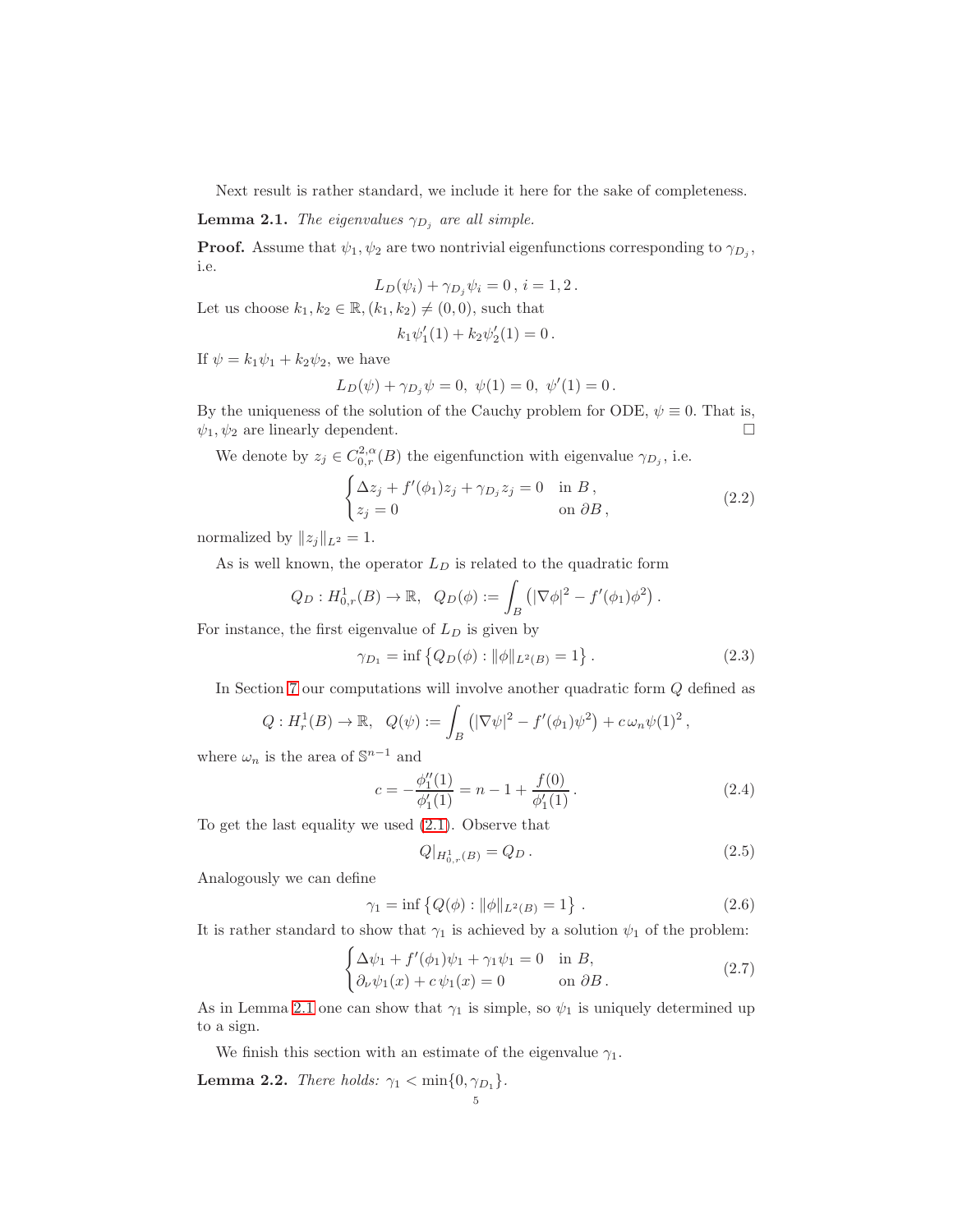Next result is rather standard, we include it here for the sake of completeness.

<span id="page-4-0"></span>**Lemma 2.1.** The eigenvalues  $\gamma_{D_i}$  are all simple.

**Proof.** Assume that  $\psi_1, \psi_2$  are two nontrivial eigenfunctions corresponding to  $\gamma_{D_j}$ , i.e.

$$
L_D(\psi_i) + \gamma_{D_j}\psi_i = 0, \, i = 1, 2 \, .
$$

Let us choose  $k_1, k_2 \in \mathbb{R}, (k_1, k_2) \neq (0, 0)$ , such that

$$
k_1\psi_1'(1) + k_2\psi_2'(1) = 0.
$$

If  $\psi = k_1 \psi_1 + k_2 \psi_2$ , we have

$$
L_D(\psi) + \gamma_{D_j}\psi = 0, \ \psi(1) = 0, \ \psi'(1) = 0.
$$

By the uniqueness of the solution of the Cauchy problem for ODE,  $\psi \equiv 0$ . That is,  $\psi_1$   $\psi_2$  are linearly dependent.  $\psi_1, \psi_2$  are linearly dependent.

We denote by  $z_j \in C^{2,\alpha}_{0,r}(B)$  the eigenfunction with eigenvalue  $\gamma_{D_j}$ , i.e.

<span id="page-4-5"></span>
$$
\begin{cases} \Delta z_j + f'(\phi_1)z_j + \gamma_{D_j} z_j = 0 & \text{in } B, \\ z_j = 0 & \text{on } \partial B, \end{cases}
$$
 (2.2)

normalized by  $||z_j||_{L^2} = 1$ .

As is well known, the operator  $L_D$  is related to the quadratic form

$$
Q_D: H^1_{0,r}(B) \to \mathbb{R}, \quad Q_D(\phi) := \int_B (|\nabla \phi|^2 - f'(\phi_1) \phi^2).
$$

For instance, the first eigenvalue of  $L<sub>D</sub>$  is given by

<span id="page-4-1"></span>
$$
\gamma_{D_1} = \inf \left\{ Q_D(\phi) : \|\phi\|_{L^2(B)} = 1 \right\}.
$$
\n(2.3)

In Section [7](#page-16-0) our computations will involve another quadratic form Q defined as

$$
Q: H_r^1(B) \to \mathbb{R}, \ \ Q(\psi) := \int_B (|\nabla \psi|^2 - f'(\phi_1)\psi^2) + c \,\omega_n \psi(1)^2,
$$

where  $\omega_n$  is the area of  $\mathbb{S}^{n-1}$  and

<span id="page-4-6"></span>
$$
c = -\frac{\phi_1''(1)}{\phi_1'(1)} = n - 1 + \frac{f(0)}{\phi_1'(1)}.
$$
\n(2.4)

To get the last equality we used [\(2.1\)](#page-3-0). Observe that

<span id="page-4-3"></span>
$$
Q|_{H^1_{0,r}(B)} = Q_D. \t\t(2.5)
$$

Analogously we can define

<span id="page-4-2"></span>
$$
\gamma_1 = \inf \left\{ Q(\phi) : \|\phi\|_{L^2(B)} = 1 \right\} \,. \tag{2.6}
$$

It is rather standard to show that  $\gamma_1$  is achieved by a solution  $\psi_1$  of the problem:

<span id="page-4-4"></span>
$$
\begin{cases} \Delta \psi_1 + f'(\phi_1)\psi_1 + \gamma_1 \psi_1 = 0 & \text{in } B, \\ \partial_\nu \psi_1(x) + c \psi_1(x) = 0 & \text{on } \partial B. \end{cases}
$$
 (2.7)

As in Lemma [2.1](#page-4-0) one can show that  $\gamma_1$  is simple, so  $\psi_1$  is uniquely determined up to a sign.

We finish this section with an estimate of the eigenvalue  $\gamma_1$ .

<span id="page-4-7"></span>**Lemma 2.2.** There holds:  $\gamma_1 < \min\{0, \gamma_{D_1}\}.$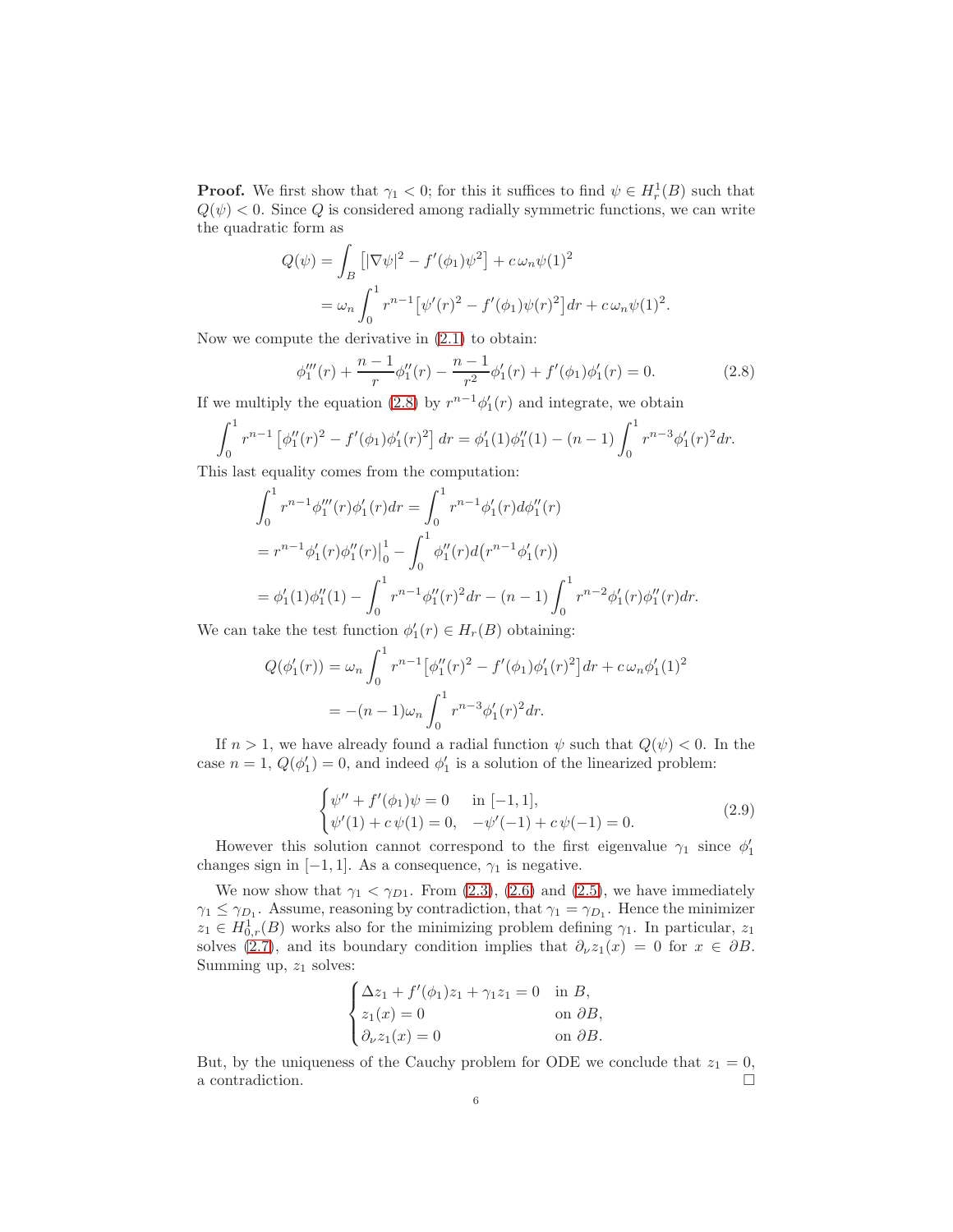**Proof.** We first show that  $\gamma_1 < 0$ ; for this it suffices to find  $\psi \in H_r^1(B)$  such that  $Q(\psi)$  < 0. Since Q is considered among radially symmetric functions, we can write the quadratic form as

$$
Q(\psi) = \int_B \left[ |\nabla \psi|^2 - f'(\phi_1) \psi^2 \right] + c \omega_n \psi(1)^2
$$
  
=  $\omega_n \int_0^1 r^{n-1} \left[ \psi'(r)^2 - f'(\phi_1) \psi(r)^2 \right] dr + c \omega_n \psi(1)^2.$ 

Now we compute the derivative in [\(2.1\)](#page-3-0) to obtain:

<span id="page-5-0"></span>
$$
\phi_1'''(r) + \frac{n-1}{r} \phi_1''(r) - \frac{n-1}{r^2} \phi_1'(r) + f'(\phi_1)\phi_1'(r) = 0.
$$
 (2.8)

If we multiply the equation [\(2.8\)](#page-5-0) by  $r^{n-1}\phi'_1(r)$  and integrate, we obtain

$$
\int_0^1 r^{n-1} \left[ \phi_1''(r)^2 - f'(\phi_1)\phi_1'(r)^2 \right] dr = \phi_1'(1)\phi_1''(1) - (n-1)\int_0^1 r^{n-3}\phi_1'(r)^2 dr.
$$

This last equality comes from the computation:

$$
\int_0^1 r^{n-1} \phi_1'''(r) \phi_1'(r) dr = \int_0^1 r^{n-1} \phi_1'(r) d\phi_1''(r)
$$
  
=  $r^{n-1} \phi_1'(r) \phi_1''(r) \Big|_0^1 - \int_0^1 \phi_1''(r) d(r^{n-1} \phi_1'(r))$   
=  $\phi_1'(1) \phi_1''(1) - \int_0^1 r^{n-1} \phi_1''(r)^2 dr - (n-1) \int_0^1 r^{n-2} \phi_1'(r) \phi_1''(r) dr.$ 

We can take the test function  $\phi'_1(r) \in H_r(B)$  obtaining:

$$
Q(\phi'_1(r)) = \omega_n \int_0^1 r^{n-1} \left[ \phi''_1(r)^2 - f'(\phi_1)\phi'_1(r)^2 \right] dr + c \omega_n \phi'_1(1)^2
$$
  
=  $-(n-1)\omega_n \int_0^1 r^{n-3} \phi'_1(r)^2 dr.$ 

If  $n > 1$ , we have already found a radial function  $\psi$  such that  $Q(\psi) < 0$ . In the case  $n = 1$ ,  $Q(\phi'_1) = 0$ , and indeed  $\phi'_1$  is a solution of the linearized problem:

$$
\begin{cases}\n\psi'' + f'(\phi_1)\psi = 0 & \text{in } [-1, 1], \\
\psi'(1) + c\psi(1) = 0, & -\psi'(-1) + c\psi(-1) = 0.\n\end{cases}
$$
\n(2.9)

However this solution cannot correspond to the first eigenvalue  $\gamma_1$  since  $\phi'_1$ changes sign in  $[-1, 1]$ . As a consequence,  $\gamma_1$  is negative.

We now show that  $\gamma_1 < \gamma_{D1}$ . From [\(2.3\)](#page-4-1), [\(2.6\)](#page-4-2) and [\(2.5\)](#page-4-3), we have immediately  $\gamma_1 \leq \gamma_{D_1}$ . Assume, reasoning by contradiction, that  $\gamma_1 = \gamma_{D_1}$ . Hence the minimizer  $z_1 \in H^1_{0,r}(B)$  works also for the minimizing problem defining  $\gamma_1$ . In particular,  $z_1$ solves [\(2.7\)](#page-4-4), and its boundary condition implies that  $\partial_{\nu}z_1(x) = 0$  for  $x \in \partial B$ . Summing up,  $z_1$  solves:

$$
\begin{cases} \Delta z_1 + f'(\phi_1)z_1 + \gamma_1 z_1 = 0 & \text{in } B, \\ z_1(x) = 0 & \text{on } \partial B, \\ \partial_{\nu} z_1(x) = 0 & \text{on } \partial B. \end{cases}
$$

But, by the uniqueness of the Cauchy problem for ODE we conclude that  $z_1 = 0$ , a contradiction.  $\hfill \square$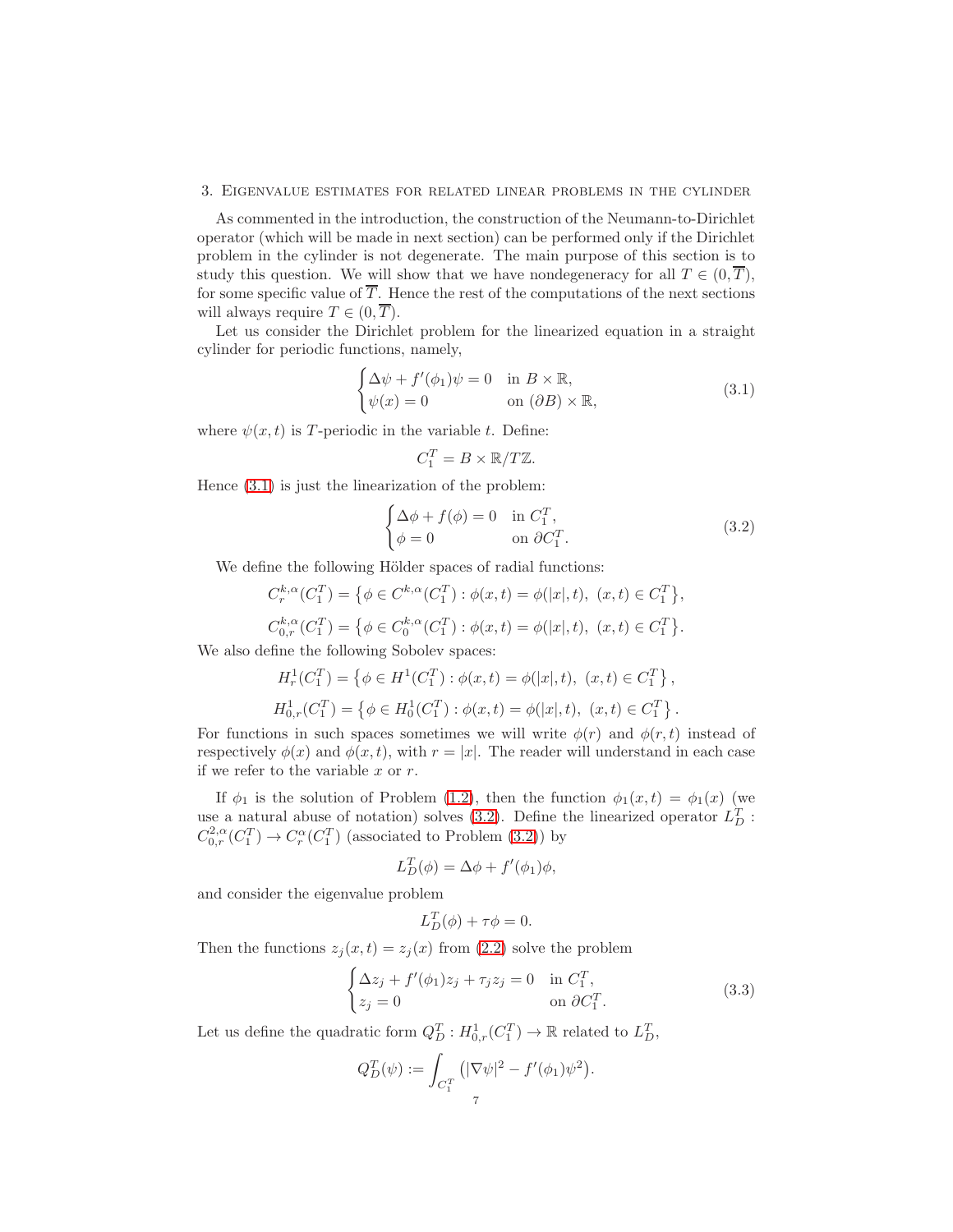#### 3. Eigenvalue estimates for related linear problems in the cylinder

As commented in the introduction, the construction of the Neumann-to-Dirichlet operator (which will be made in next section) can be performed only if the Dirichlet problem in the cylinder is not degenerate. The main purpose of this section is to study this question. We will show that we have nondegeneracy for all  $T \in (0, \overline{T})$ , for some specific value of  $\overline{T}$ . Hence the rest of the computations of the next sections will always require  $T \in (0, \overline{T})$ .

Let us consider the Dirichlet problem for the linearized equation in a straight cylinder for periodic functions, namely,

<span id="page-6-0"></span>
$$
\begin{cases} \Delta \psi + f'(\phi_1)\psi = 0 & \text{in } B \times \mathbb{R}, \\ \psi(x) = 0 & \text{on } (\partial B) \times \mathbb{R}, \end{cases}
$$
 (3.1)

where  $\psi(x, t)$  is T-periodic in the variable t. Define:

$$
C_1^T = B \times \mathbb{R}/T\mathbb{Z}.
$$

Hence [\(3.1\)](#page-6-0) is just the linearization of the problem:

<span id="page-6-1"></span>
$$
\begin{cases} \Delta \phi + f(\phi) = 0 & \text{in } C_1^T, \\ \phi = 0 & \text{on } \partial C_1^T. \end{cases}
$$
 (3.2)

We define the following Hölder spaces of radial functions:

$$
C_r^{k,\alpha}(C_1^T) = \{ \phi \in C^{k,\alpha}(C_1^T) : \phi(x,t) = \phi(|x|,t), \ (x,t) \in C_1^T \},
$$
  

$$
C_{0,r}^{k,\alpha}(C_1^T) = \{ \phi \in C_0^{k,\alpha}(C_1^T) : \phi(x,t) = \phi(|x|,t), \ (x,t) \in C_1^T \}.
$$

We also define the following Sobolev spaces:

$$
H_r^1(C_1^T) = \{ \phi \in H^1(C_1^T) : \phi(x, t) = \phi(|x|, t), \ (x, t) \in C_1^T \},
$$
  

$$
H_{0,r}^1(C_1^T) = \{ \phi \in H_0^1(C_1^T) : \phi(x, t) = \phi(|x|, t), \ (x, t) \in C_1^T \}.
$$

For functions in such spaces sometimes we will write  $\phi(r)$  and  $\phi(r, t)$  instead of respectively  $\phi(x)$  and  $\phi(x, t)$ , with  $r = |x|$ . The reader will understand in each case if we refer to the variable  $x$  or  $r$ .

If  $\phi_1$  is the solution of Problem [\(1.2\)](#page-2-0), then the function  $\phi_1(x,t) = \phi_1(x)$  (we use a natural abuse of notation) solves [\(3.2\)](#page-6-1). Define the linearized operator  $L_D^T$ :  $C^{2,\alpha}_{0,r}(C_1^T) \to C^\alpha_r(C_1^T)$  (associated to Problem [\(3.2\)](#page-6-1)) by

$$
L_D^T(\phi) = \Delta \phi + f'(\phi_1)\phi,
$$

and consider the eigenvalue problem

$$
L_D^T(\phi) + \tau \phi = 0.
$$

Then the functions  $z_j(x, t) = z_j(x)$  from [\(2.2\)](#page-4-5) solve the problem

<span id="page-6-2"></span>
$$
\begin{cases} \Delta z_j + f'(\phi_1)z_j + \tau_j z_j = 0 & \text{in } C_1^T, \\ z_j = 0 & \text{on } \partial C_1^T. \end{cases}
$$
 (3.3)

Let us define the quadratic form  $Q_D^T : H^1_{0,r}(C_1^T) \to \mathbb{R}$  related to  $L_D^T$ ,

$$
Q_D^T(\psi) := \int_{C_1^T} \left( |\nabla \psi|^2 - f'(\phi_1) \psi^2 \right).
$$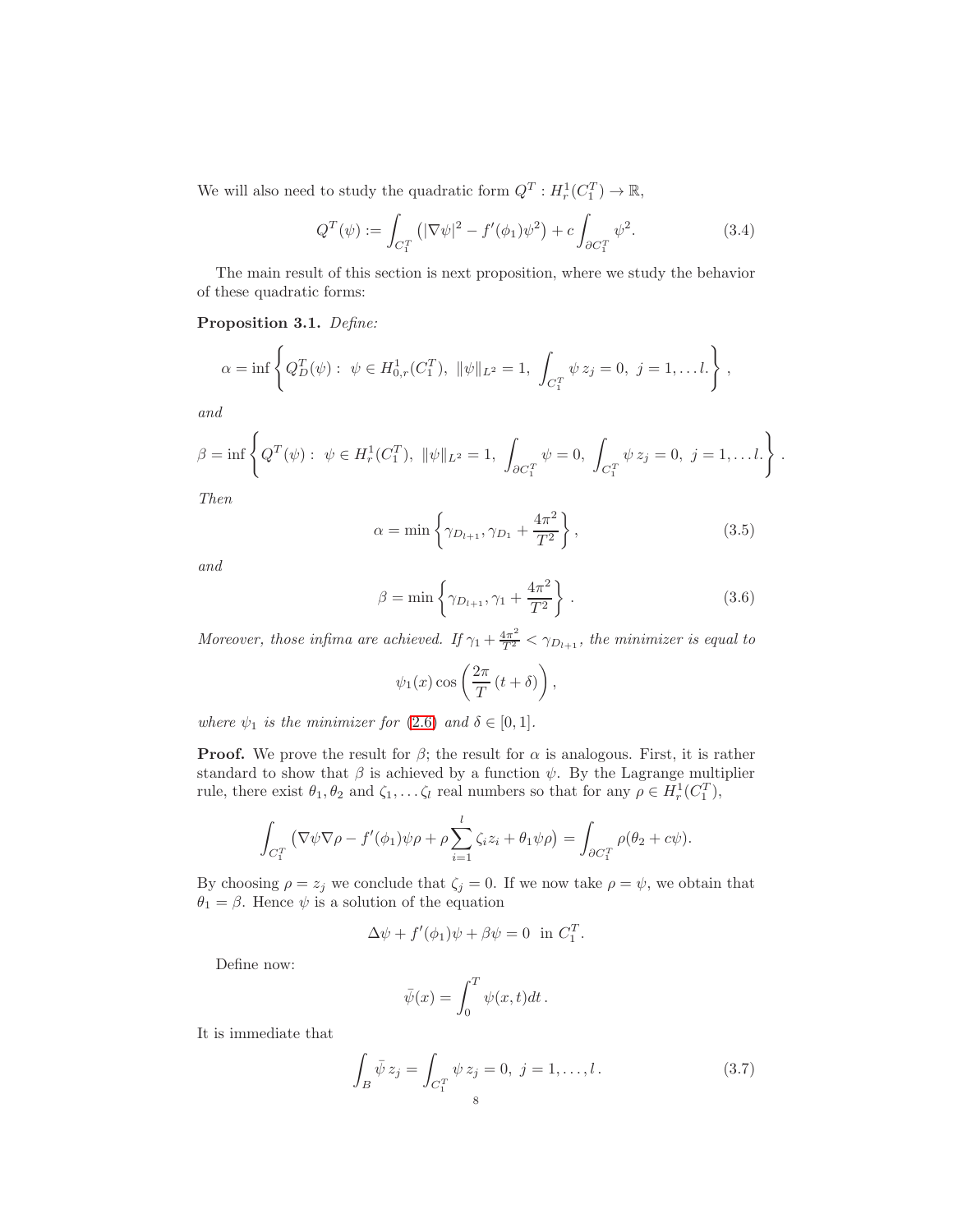We will also need to study the quadratic form  $Q^T: H_r^1(C_1^T) \to \mathbb{R}$ ,

$$
Q^{T}(\psi) := \int_{C_{1}^{T}} \left( |\nabla \psi|^{2} - f'(\phi_{1}) \psi^{2} \right) + c \int_{\partial C_{1}^{T}} \psi^{2}.
$$
 (3.4)

The main result of this section is next proposition, where we study the behavior of these quadratic forms:

<span id="page-7-1"></span>Proposition 3.1. Define:

$$
\alpha = \inf \left\{ Q_D^T(\psi) : \ \psi \in H^1_{0,r}(C_1^T), \ \|\psi\|_{L^2} = 1, \ \int_{C_1^T} \psi \, z_j = 0, \ j = 1, \dots, l. \right\},\
$$

and

$$
\beta = \inf \left\{ Q^T(\psi) : \ \psi \in H^1_r(C_1^T), \ \|\psi\|_{L^2} = 1, \ \int_{\partial C_1^T} \psi = 0, \ \int_{C_1^T} \psi z_j = 0, \ j = 1, \dots l. \right\}.
$$

Then

$$
\alpha = \min \left\{ \gamma_{D_{l+1}}, \gamma_{D_1} + \frac{4\pi^2}{T^2} \right\},
$$
\n(3.5)

and

$$
\beta = \min \left\{ \gamma_{D_{l+1}}, \gamma_1 + \frac{4\pi^2}{T^2} \right\}.
$$
\n(3.6)

Moreover, those infima are achieved. If  $\gamma_1 + \frac{4\pi^2}{T^2} < \gamma_{D_{l+1}}$ , the minimizer is equal to

$$
\psi_1(x) \cos\left(\frac{2\pi}{T}(t+\delta)\right)
$$

where  $\psi_1$  is the minimizer for [\(2.6\)](#page-4-2) and  $\delta \in [0,1]$ .

**Proof.** We prove the result for  $\beta$ ; the result for  $\alpha$  is analogous. First, it is rather standard to show that  $\beta$  is achieved by a function  $\psi$ . By the Lagrange multiplier rule, there exist  $\theta_1, \theta_2$  and  $\zeta_1, \dots, \zeta_l$  real numbers so that for any  $\rho \in H_r^1(C_1^T)$ ,

$$
\int_{C_1^T} \left( \nabla \psi \nabla \rho - f'(\phi_1) \psi \rho + \rho \sum_{i=1}^l \zeta_i z_i + \theta_1 \psi \rho \right) = \int_{\partial C_1^T} \rho(\theta_2 + c\psi).
$$

By choosing  $\rho = z_j$  we conclude that  $\zeta_j = 0$ . If we now take  $\rho = \psi$ , we obtain that  $\theta_1 = \beta$ . Hence  $\psi$  is a solution of the equation

$$
\Delta \psi + f'(\phi_1)\psi + \beta \psi = 0 \text{ in } C_1^T.
$$

Define now:

$$
\bar{\psi}(x) = \int_0^T \psi(x, t) dt.
$$

It is immediate that

<span id="page-7-0"></span>
$$
\int_{B} \bar{\psi} z_{j} = \int_{C_{1}^{T}} \psi z_{j} = 0, \ j = 1, ..., l.
$$
\n(3.7)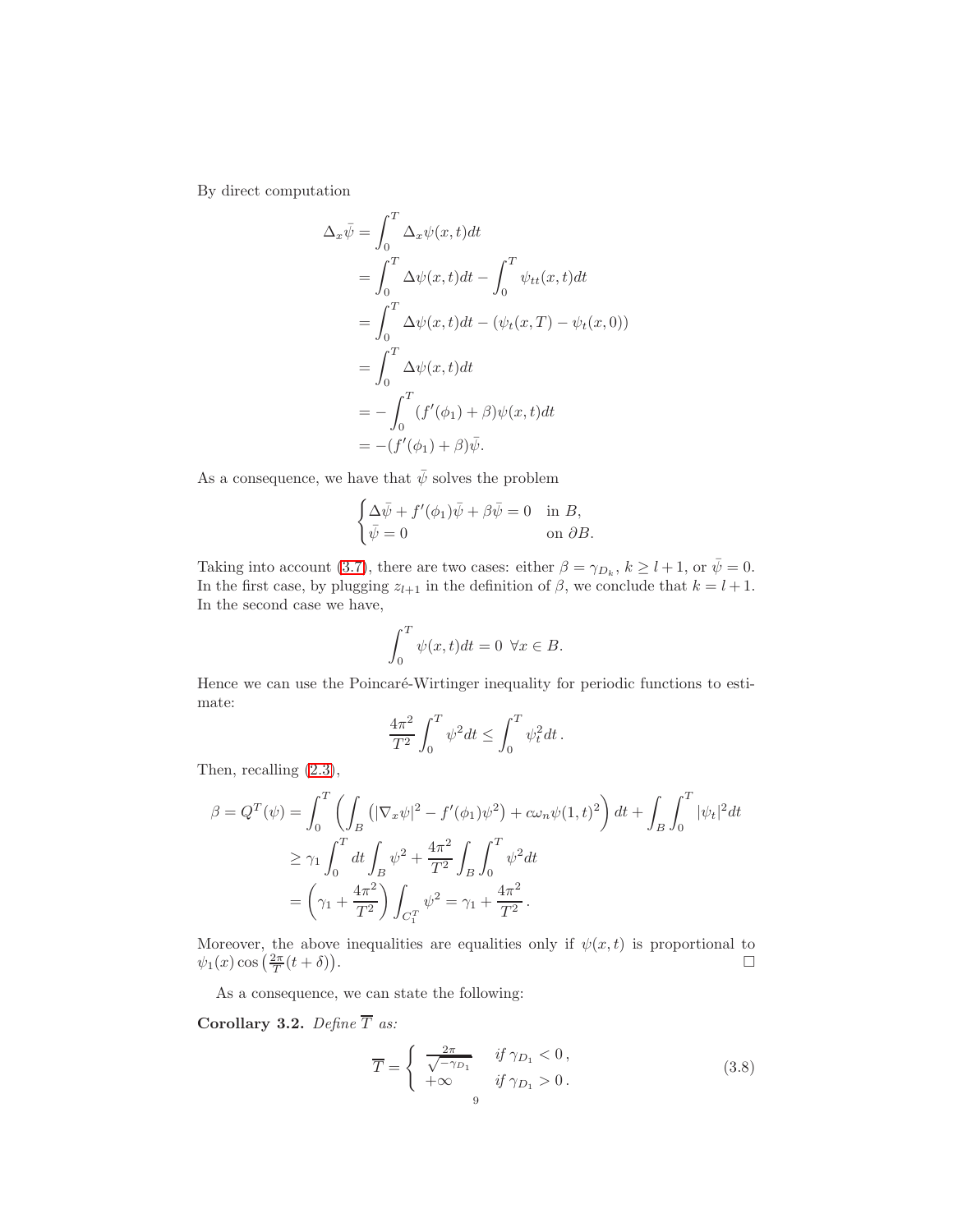By direct computation

$$
\Delta_x \bar{\psi} = \int_0^T \Delta_x \psi(x, t) dt
$$
  
= 
$$
\int_0^T \Delta \psi(x, t) dt - \int_0^T \psi_{tt}(x, t) dt
$$
  
= 
$$
\int_0^T \Delta \psi(x, t) dt - (\psi_t(x, T) - \psi_t(x, 0))
$$
  
= 
$$
\int_0^T \Delta \psi(x, t) dt
$$
  
= 
$$
-\int_0^T (f'(\phi_1) + \beta) \psi(x, t) dt
$$
  
= 
$$
-(f'(\phi_1) + \beta) \bar{\psi}.
$$

As a consequence, we have that  $\bar{\psi}$  solves the problem

$$
\begin{cases} \Delta \bar{\psi} + f'(\phi_1)\bar{\psi} + \beta \bar{\psi} = 0 & \text{in } B, \\ \bar{\psi} = 0 & \text{on } \partial B. \end{cases}
$$

Taking into account [\(3.7\)](#page-7-0), there are two cases: either  $\beta = \gamma_{D_k}$ ,  $k \ge l+1$ , or  $\bar{\psi} = 0$ . In the first case, by plugging  $z_{l+1}$  in the definition of  $\beta$ , we conclude that  $k = l + 1$ . In the second case we have,

$$
\int_0^T \psi(x,t)dt = 0 \ \forall x \in B.
$$

Hence we can use the Poincaré-Wirtinger inequality for periodic functions to estimate:

$$
\frac{4\pi^2}{T^2} \int_0^T \psi^2 dt \le \int_0^T \psi_t^2 dt.
$$

Then, recalling [\(2.3\)](#page-4-1),

$$
\beta = Q^{T}(\psi) = \int_{0}^{T} \left( \int_{B} \left( |\nabla_{x} \psi|^{2} - f'(\phi_{1}) \psi^{2} \right) + c \omega_{n} \psi(1, t)^{2} \right) dt + \int_{B} \int_{0}^{T} |\psi_{t}|^{2} dt
$$
  
\n
$$
\geq \gamma_{1} \int_{0}^{T} dt \int_{B} \psi^{2} + \frac{4\pi^{2}}{T^{2}} \int_{B} \int_{0}^{T} \psi^{2} dt
$$
  
\n
$$
= \left( \gamma_{1} + \frac{4\pi^{2}}{T^{2}} \right) \int_{C_{1}^{T}} \psi^{2} = \gamma_{1} + \frac{4\pi^{2}}{T^{2}}.
$$

Moreover, the above inequalities are equalities only if  $\psi(x,t)$  is proportional to  $\psi_1(x) \cos\left(\frac{2\pi}{T}(t+\delta)\right)$ .

As a consequence, we can state the following:

<span id="page-8-1"></span>Corollary 3.2. Define  $\overline{T}$  as:

<span id="page-8-0"></span>
$$
\overline{T} = \begin{cases}\n\frac{2\pi}{\sqrt{-\gamma_{D_1}}} & \text{if } \gamma_{D_1} < 0, \\
+\infty & \text{if } \gamma_{D_1} > 0.\n\end{cases} \tag{3.8}
$$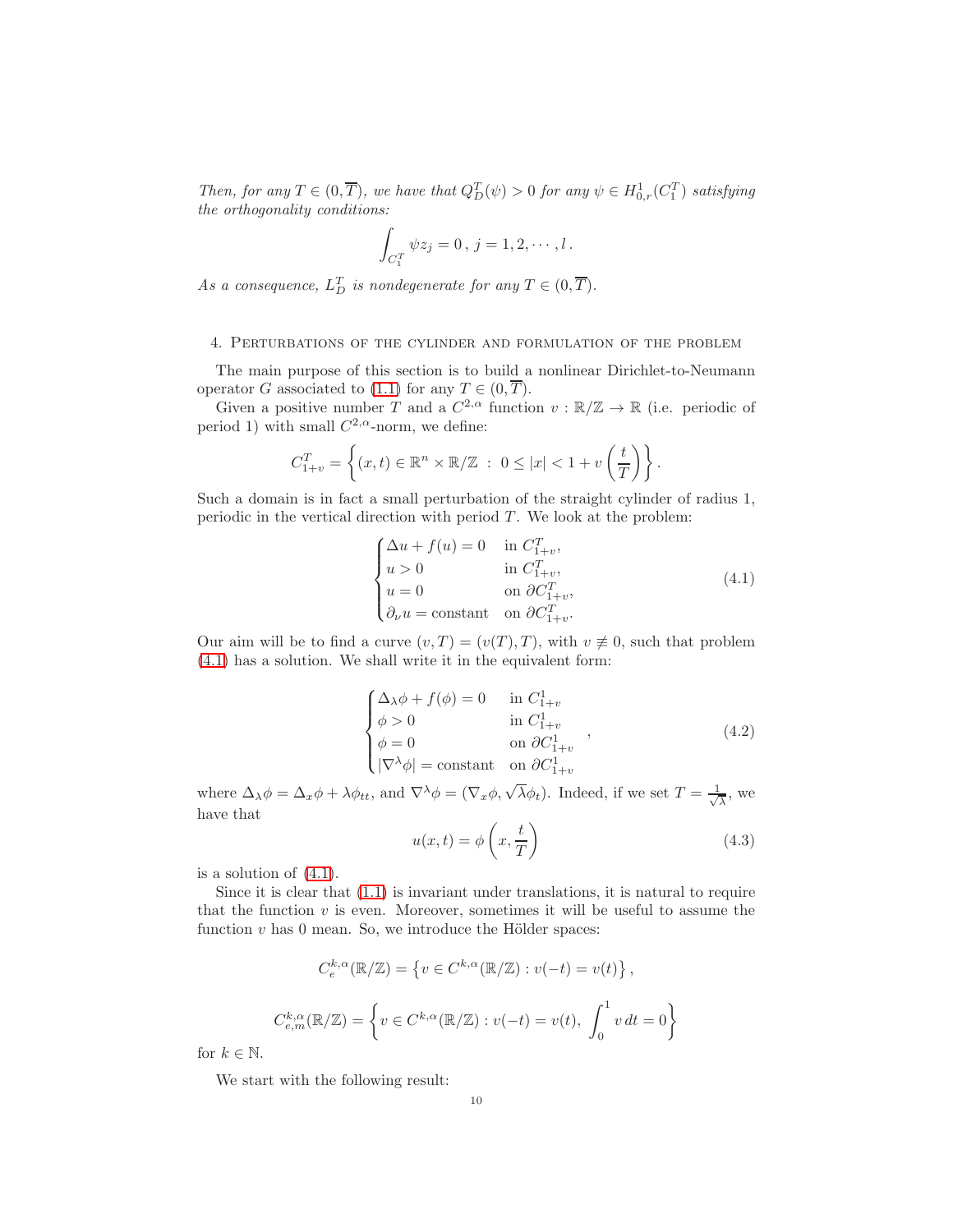Then, for any  $T \in (0, \overline{T})$ , we have that  $Q_D^T(\psi) > 0$  for any  $\psi \in H^1_{0,r}(C_1^T)$  satisfying the orthogonality conditions:

$$
\int_{C_1^T} \psi z_j = 0, \, j = 1, 2, \cdots, l \, .
$$

As a consequence,  $L_D^T$  is nondegenerate for any  $T \in (0, \overline{T})$ .

## 4. Perturbations of the cylinder and formulation of the problem

The main purpose of this section is to build a nonlinear Dirichlet-to-Neumann operator G associated to [\(1.1\)](#page-0-0) for any  $T \in (0, \overline{T})$ .

Given a positive number T and a  $C^{2,\alpha}$  function  $v : \mathbb{R}/\mathbb{Z} \to \mathbb{R}$  (i.e. periodic of period 1) with small  $C^{2,\alpha}$ -norm, we define:

$$
C_{1+v}^T = \left\{ (x,t) \in \mathbb{R}^n \times \mathbb{R}/\mathbb{Z} \ : \ 0 \leq |x| < 1 + v\left(\frac{t}{T}\right) \right\}.
$$

Such a domain is in fact a small perturbation of the straight cylinder of radius 1, periodic in the vertical direction with period  $T$ . We look at the problem:

<span id="page-9-0"></span>
$$
\begin{cases}\n\Delta u + f(u) = 0 & \text{in } C_{1+v}^T, \\
u > 0 & \text{in } C_{1+v}^T, \\
u = 0 & \text{on } \partial C_{1+v}^T, \\
\partial_\nu u = \text{constant} & \text{on } \partial C_{1+v}^T.\n\end{cases}
$$
\n(4.1)

Our aim will be to find a curve  $(v, T) = (v(T), T)$ , with  $v \neq 0$ , such that problem [\(4.1\)](#page-9-0) has a solution. We shall write it in the equivalent form:

$$
\begin{cases}\n\Delta_{\lambda}\phi + f(\phi) = 0 & \text{in } C_{1+v}^{1} \\
\phi > 0 & \text{in } C_{1+v}^{1} \\
\phi = 0 & \text{on } \partial C_{1+v}^{1} \\
|\nabla^{\lambda}\phi| = \text{constant} & \text{on } \partial C_{1+v}^{1} \\
\end{cases}
$$
\n(4.2)

where  $\Delta_{\lambda}\phi = \Delta_x\phi + \lambda\phi_{tt}$ , and  $\nabla^{\lambda}\phi = (\nabla_x\phi, \sqrt{\lambda}\phi_t)$ . Indeed, if we set  $T = \frac{1}{\sqrt{\lambda}}$  $\frac{1}{\lambda}$ , we have that

<span id="page-9-1"></span>
$$
u(x,t) = \phi\left(x, \frac{t}{T}\right) \tag{4.3}
$$

is a solution of [\(4.1\)](#page-9-0).

Since it is clear that [\(1.1\)](#page-0-0) is invariant under translations, it is natural to require that the function  $v$  is even. Moreover, sometimes it will be useful to assume the function  $v$  has 0 mean. So, we introduce the Hölder spaces:

$$
C_e^{k,\alpha}(\mathbb{R}/\mathbb{Z}) = \left\{ v \in C^{k,\alpha}(\mathbb{R}/\mathbb{Z}) : v(-t) = v(t) \right\},\
$$
  

$$
C_{e,m}^{k,\alpha}(\mathbb{R}/\mathbb{Z}) = \left\{ v \in C^{k,\alpha}(\mathbb{R}/\mathbb{Z}) : v(-t) = v(t), \int_0^1 v dt = 0 \right\}
$$

for  $k \in \mathbb{N}$ .

We start with the following result: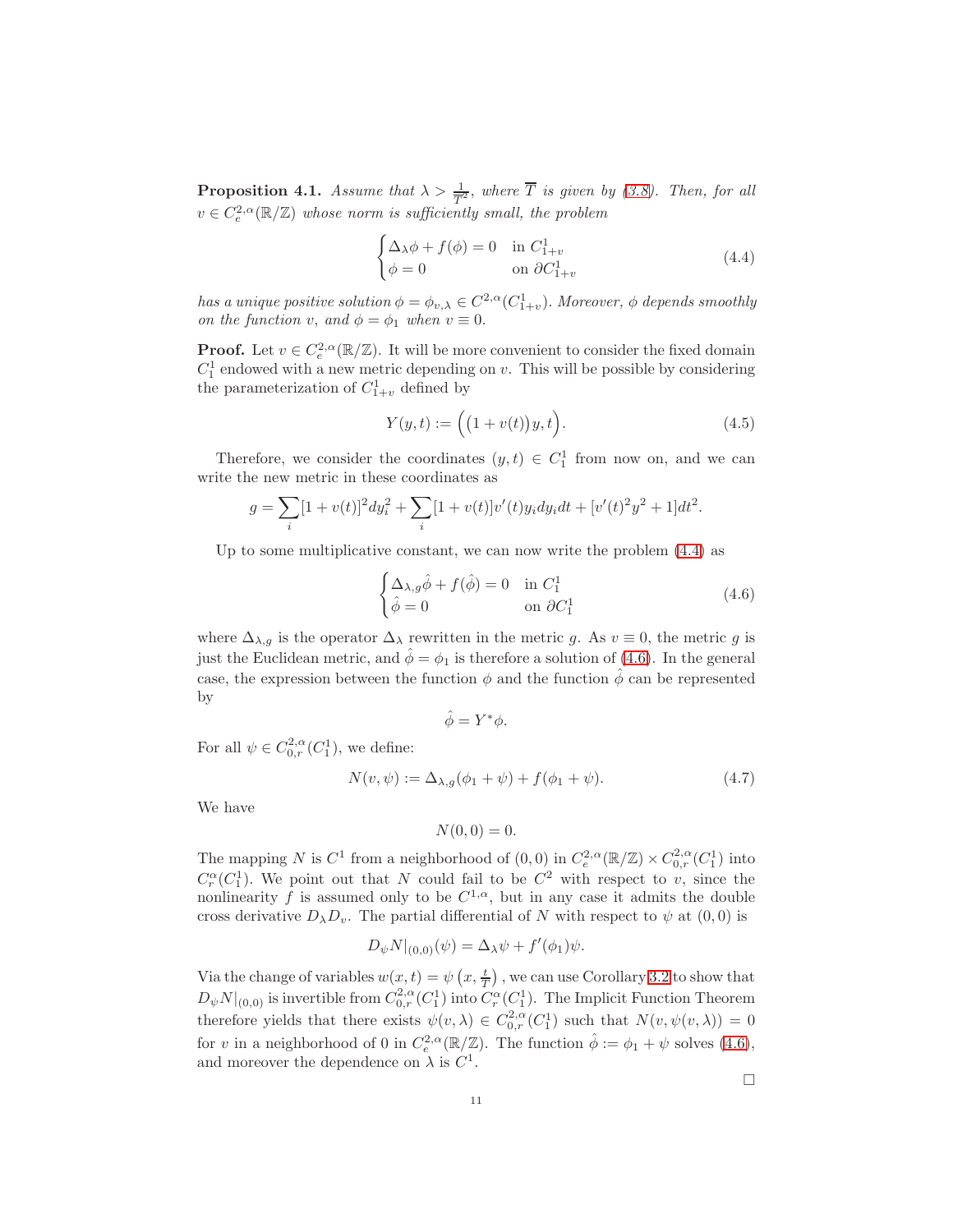<span id="page-10-2"></span>**Proposition 4.1.** Assume that  $\lambda > \frac{1}{T^2}$ , where  $\overline{T}$  is given by [\(3.8\)](#page-8-0). Then, for all  $v \in C_e^{2,\alpha}(\mathbb{R}/\mathbb{Z})$  whose norm is sufficiently small, the problem

<span id="page-10-0"></span>
$$
\begin{cases} \Delta_{\lambda}\phi + f(\phi) = 0 & \text{in } C_{1+v}^{1} \\ \phi = 0 & \text{on } \partial C_{1+v}^{1} \end{cases}
$$
 (4.4)

has a unique positive solution  $\phi = \phi_{v,\lambda} \in C^{2,\alpha}(C^1_{1+v})$ . Moreover,  $\phi$  depends smoothly on the function v, and  $\phi = \phi_1$  when  $v \equiv 0$ .

**Proof.** Let  $v \in C_e^{2,\alpha}(\mathbb{R}/\mathbb{Z})$ . It will be more convenient to consider the fixed domain  $C_1^1$  endowed with a new metric depending on v. This will be possible by considering the parameterization of  $C_{1+v}^1$  defined by

<span id="page-10-4"></span>
$$
Y(y,t) := ((1 + v(t))y, t).
$$
 (4.5)

.

Therefore, we consider the coordinates  $(y, t) \in C_1^1$  from now on, and we can write the new metric in these coordinates as

$$
g = \sum_{i} [1 + v(t)]^2 dy_i^2 + \sum_{i} [1 + v(t)]v'(t)y_i dy_i dt + [v'(t)]^2 y^2 + 1]dt^2
$$

Up to some multiplicative constant, we can now write the problem  $(4.4)$  as

<span id="page-10-1"></span>
$$
\begin{cases} \Delta_{\lambda,g}\hat{\phi} + f(\hat{\phi}) = 0 & \text{in } C_1^1\\ \hat{\phi} = 0 & \text{on } \partial C_1^1 \end{cases}
$$
 (4.6)

where  $\Delta_{\lambda,g}$  is the operator  $\Delta_{\lambda}$  rewritten in the metric g. As  $v \equiv 0$ , the metric g is just the Euclidean metric, and  $\hat{\phi} = \phi_1$  is therefore a solution of [\(4.6\)](#page-10-1). In the general case, the expression between the function  $\phi$  and the function  $\phi$  can be represented by

$$
\hat{\phi} = Y^* \phi.
$$

For all  $\psi \in C^{2,\alpha}_{0,r}(C_1^1)$ , we define:

<span id="page-10-3"></span>
$$
N(v, \psi) := \Delta_{\lambda, g}(\phi_1 + \psi) + f(\phi_1 + \psi).
$$
 (4.7)

We have

$$
N(0,0) = 0.
$$

The mapping N is  $C^1$  from a neighborhood of  $(0,0)$  in  $C_e^{2,\alpha}(\mathbb{R}/\mathbb{Z}) \times C_{0,r}^{2,\alpha}(C_1^1)$  into  $C_r^{\alpha}(C_1^1)$ . We point out that N could fail to be  $C^2$  with respect to v, since the nonlinearity f is assumed only to be  $C^{1,\alpha}$ , but in any case it admits the double cross derivative  $D_{\lambda}D_{\nu}$ . The partial differential of N with respect to  $\psi$  at  $(0,0)$  is

$$
D_{\psi}N|_{(0,0)}(\psi) = \Delta_{\lambda}\psi + f'(\phi_1)\psi.
$$

Via the change of variables  $w(x,t) = \psi\left(x, \frac{t}{T}\right)$ , we can use Corollary [3.2](#page-8-1) to show that T  $D_{\psi}N|_{(0,0)}$  is invertible from  $C^{2,\alpha}_{0,r}(C_1^1)$  into  $C^{\alpha}_r(C_1^1)$ . The Implicit Function Theorem therefore yields that there exists  $\psi(v, \lambda) \in C_{0,r}^{2,\alpha}(C_1^1)$  such that  $N(v, \psi(v, \lambda)) = 0$ for v in a neighborhood of 0 in  $C_e^{2,\alpha}(\mathbb{R}/\mathbb{Z})$ . The function  $\hat{\phi} := \phi_1 + \psi$  solves [\(4.6\)](#page-10-1), and moreover the dependence on  $\lambda$  is  $C^1$ .

 $\Box$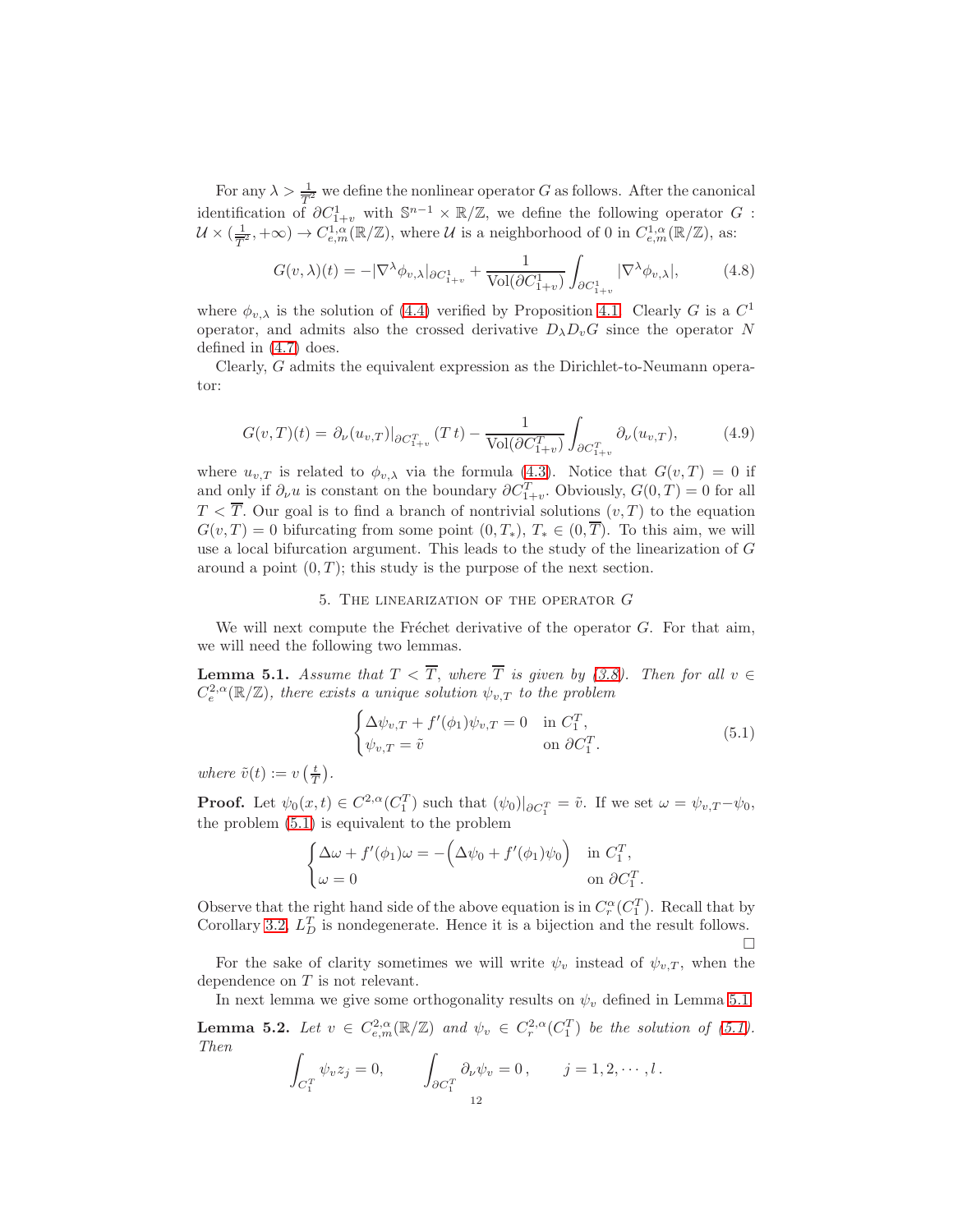For any  $\lambda > \frac{1}{\sqrt{2}}$  we define the nonlinear operator G as follows. After the canonical identification of  $\partial C_{1+v}^1$  with  $\mathbb{S}^{n-1} \times \mathbb{R}/\mathbb{Z}$ , we define the following operator G :  $\mathcal{U}\times (\frac{1}{T})$  $\frac{1}{T^2}, +\infty) \to C^{1,\alpha}_{e,m}(\mathbb{R}/\mathbb{Z}),$  where  $\mathcal U$  is a neighborhood of 0 in  $C^{1,\alpha}_{e,m}(\mathbb{R}/\mathbb{Z}),$  as:

$$
G(v,\lambda)(t) = -|\nabla^{\lambda}\phi_{v,\lambda}|_{\partial C_{1+v}^1} + \frac{1}{\text{Vol}(\partial C_{1+v}^1)} \int_{\partial C_{1+v}^1} |\nabla^{\lambda}\phi_{v,\lambda}|, \tag{4.8}
$$

where  $\phi_{v,\lambda}$  is the solution of [\(4.4\)](#page-10-0) verified by Proposition [4.1.](#page-10-2) Clearly G is a  $C^1$ operator, and admits also the crossed derivative  $D_{\lambda}D_{v}G$  since the operator N defined in [\(4.7\)](#page-10-3) does.

Clearly, G admits the equivalent expression as the Dirichlet-to-Neumann operator:

$$
G(v,T)(t) = \left. \partial_{\nu}(u_{v,T}) \right|_{\partial C_{1+v}^T} (Tt) - \frac{1}{\text{Vol}(\partial C_{1+v}^T)} \int_{\partial C_{1+v}^T} \partial_{\nu}(u_{v,T}), \tag{4.9}
$$

where  $u_{v,T}$  is related to  $\phi_{v,\lambda}$  via the formula [\(4.3\)](#page-9-1). Notice that  $G(v,T) = 0$  if and only if  $\partial_{\nu}u$  is constant on the boundary  $\partial C_{1+v}^T$ . Obviously,  $G(0,T) = 0$  for all  $T < \overline{T}$ . Our goal is to find a branch of nontrivial solutions  $(v, T)$  to the equation  $G(v, T) = 0$  bifurcating from some point  $(0, T_*)$ ,  $T_* \in (0, \overline{T})$ . To this aim, we will use a local bifurcation argument. This leads to the study of the linearization of G around a point  $(0, T)$ ; this study is the purpose of the next section.

### 5. The linearization of the operator G

We will next compute the Fréchet derivative of the operator  $G$ . For that aim, we will need the following two lemmas.

<span id="page-11-1"></span>**Lemma 5.1.** Assume that  $T < \overline{T}$ , where  $\overline{T}$  is given by [\(3.8\)](#page-8-0). Then for all  $v \in$  $C_e^{2,\alpha}(\mathbb{R}/\mathbb{Z})$ , there exists a unique solution  $\psi_{v,T}$  to the problem

<span id="page-11-0"></span>
$$
\begin{cases} \Delta \psi_{v,T} + f'(\phi_1) \psi_{v,T} = 0 & \text{in } C_1^T, \\ \psi_{v,T} = \tilde{v} & \text{on } \partial C_1^T. \end{cases}
$$
\n(5.1)

.

where  $\tilde{v}(t) := v\left(\frac{t}{T}\right)$ .

**Proof.** Let  $\psi_0(x,t) \in C^{2,\alpha}(C_1^T)$  such that  $(\psi_0)|_{\partial C_1^T} = \tilde{v}$ . If we set  $\omega = \psi_{v,T} - \psi_0$ , the problem [\(5.1\)](#page-11-0) is equivalent to the problem

$$
\begin{cases} \Delta \omega + f'(\phi_1)\omega = -(\Delta \psi_0 + f'(\phi_1)\psi_0) & \text{in } C_1^T, \\ \omega = 0 & \text{on } \partial C_1^T \end{cases}
$$

Observe that the right hand side of the above equation is in  $C_r^{\alpha}(C_1^T)$ . Recall that by Corollary [3.2,](#page-8-1)  $L_D^T$  is nondegenerate. Hence it is a bijection and the result follows.  $\Box$ 

For the sake of clarity sometimes we will write  $\psi_v$  instead of  $\psi_{v,T}$ , when the dependence on T is not relevant.

In next lemma we give some orthogonality results on  $\psi_v$  defined in Lemma [5.1.](#page-11-1)

**Lemma 5.2.** Let  $v \in C^{2,\alpha}_{e,m}(\mathbb{R}/\mathbb{Z})$  and  $\psi_v \in C^{2,\alpha}_r(C_1^T)$  be the solution of [\(5.1\)](#page-11-0). Then

$$
\int_{C_1^T} \psi_v z_j = 0, \qquad \int_{\partial C_1^T} \partial_\nu \psi_v = 0, \qquad j = 1, 2, \cdots, l.
$$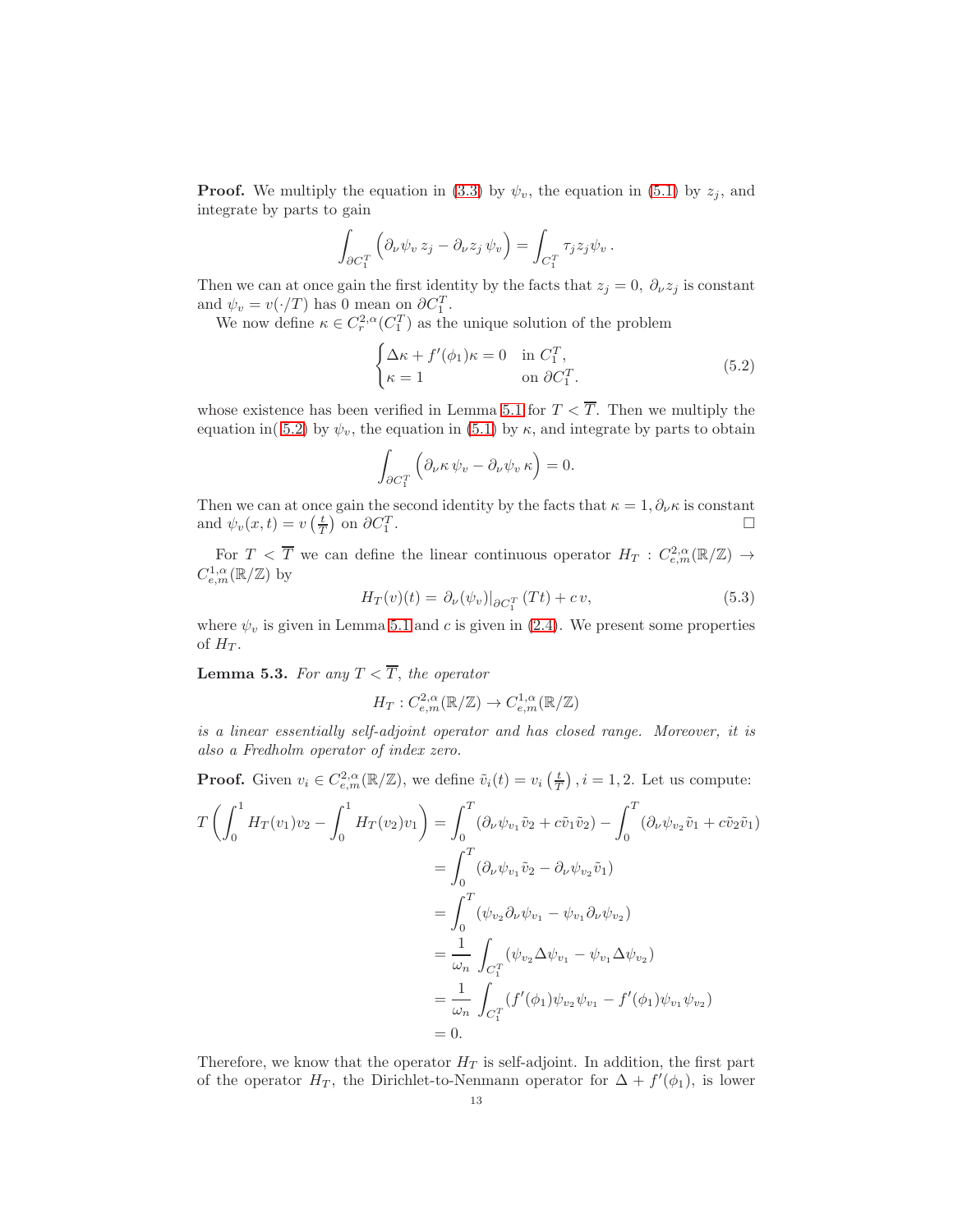**Proof.** We multiply the equation in [\(3.3\)](#page-6-2) by  $\psi_v$ , the equation in [\(5.1\)](#page-11-0) by  $z_j$ , and integrate by parts to gain

$$
\int_{\partial C_1^T} \left( \partial_{\nu} \psi_v z_j - \partial_{\nu} z_j \psi_v \right) = \int_{C_1^T} \tau_j z_j \psi_v.
$$

Then we can at once gain the first identity by the facts that  $z_j = 0$ ,  $\partial_\nu z_j$  is constant and  $\psi_v = v(\cdot/T)$  has 0 mean on  $\partial C_1^T$ .

We now define  $\kappa \in C_r^{2,\alpha}(C_1^T)$  as the unique solution of the problem

<span id="page-12-0"></span>
$$
\begin{cases} \Delta \kappa + f'(\phi_1)\kappa = 0 & \text{in } C_1^T, \\ \kappa = 1 & \text{on } \partial C_1^T. \end{cases}
$$
 (5.2)

whose existence has been verified in Lemma [5.1](#page-11-1) for  $T < \overline{T}$ . Then we multiply the equation in( [5.2\)](#page-12-0) by  $\psi_v$ , the equation in [\(5.1\)](#page-11-0) by  $\kappa$ , and integrate by parts to obtain

$$
\int_{\partial C_1^T} \left( \partial_\nu \kappa \, \psi_v - \partial_\nu \psi_v \, \kappa \right) = 0.
$$

Then we can at once gain the second identity by the facts that  $\kappa = 1, \partial_{\nu} \kappa$  is constant and  $\psi_v(x,t) = v\left(\frac{t}{T}\right)$  on  $\partial C_1^T$ . В последните последните последните последните последните последните последните последните последните последн<br>В последните последните последните последните последните последните последните последните последните последнит

For  $T < \overline{T}$  we can define the linear continuous operator  $H_T : C^{2,\alpha}_{e,m}(\mathbb{R}/\mathbb{Z}) \to$  $C^{1,\alpha}_{e,m}(\mathbb{R}/\mathbb{Z})$  by

$$
H_T(v)(t) = \partial_{\nu}(\psi_v)|_{\partial C_1^T}(Tt) + cv,
$$
\n(5.3)

where  $\psi_v$  is given in Lemma [5.1](#page-11-1) and c is given in [\(2.4\)](#page-4-6). We present some properties of  $H_T$ .

<span id="page-12-1"></span>**Lemma 5.3.** For any  $T < \overline{T}$ , the operator

$$
H_T: C^{2,\alpha}_{e,m}(\mathbb{R}/\mathbb{Z}) \to C^{1,\alpha}_{e,m}(\mathbb{R}/\mathbb{Z})
$$

is a linear essentially self-adjoint operator and has closed range. Moreover, it is also a Fredholm operator of index zero.

**Proof.** Given  $v_i \in C_{e,m}^{2,\alpha}(\mathbb{R}/\mathbb{Z})$ , we define  $\tilde{v}_i(t) = v_i\left(\frac{t}{T}\right), i = 1, 2$ . Let us compute:

$$
T\left(\int_{0}^{1} H_{T}(v_{1})v_{2} - \int_{0}^{1} H_{T}(v_{2})v_{1}\right) = \int_{0}^{T} (\partial_{\nu}\psi_{v_{1}}\tilde{v}_{2} + c\tilde{v}_{1}\tilde{v}_{2}) - \int_{0}^{T} (\partial_{\nu}\psi_{v_{2}}\tilde{v}_{1} + c\tilde{v}_{2}\tilde{v}_{1})
$$
  
\n
$$
= \int_{0}^{T} (\partial_{\nu}\psi_{v_{1}}\tilde{v}_{2} - \partial_{\nu}\psi_{v_{2}}\tilde{v}_{1})
$$
  
\n
$$
= \int_{0}^{T} (\psi_{v_{2}}\partial_{\nu}\psi_{v_{1}} - \psi_{v_{1}}\partial_{\nu}\psi_{v_{2}})
$$
  
\n
$$
= \frac{1}{\omega_{n}} \int_{C_{1}^{T}} (\psi_{v_{2}}\Delta\psi_{v_{1}} - \psi_{v_{1}}\Delta\psi_{v_{2}})
$$
  
\n
$$
= \frac{1}{\omega_{n}} \int_{C_{1}^{T}} (f'(\phi_{1})\psi_{v_{2}}\psi_{v_{1}} - f'(\phi_{1})\psi_{v_{1}}\psi_{v_{2}})
$$
  
\n
$$
= 0.
$$

Therefore, we know that the operator  $H_T$  is self-adjoint. In addition, the first part of the operator  $H_T$ , the Dirichlet-to-Nenmann operator for  $\Delta + f'(\phi_1)$ , is lower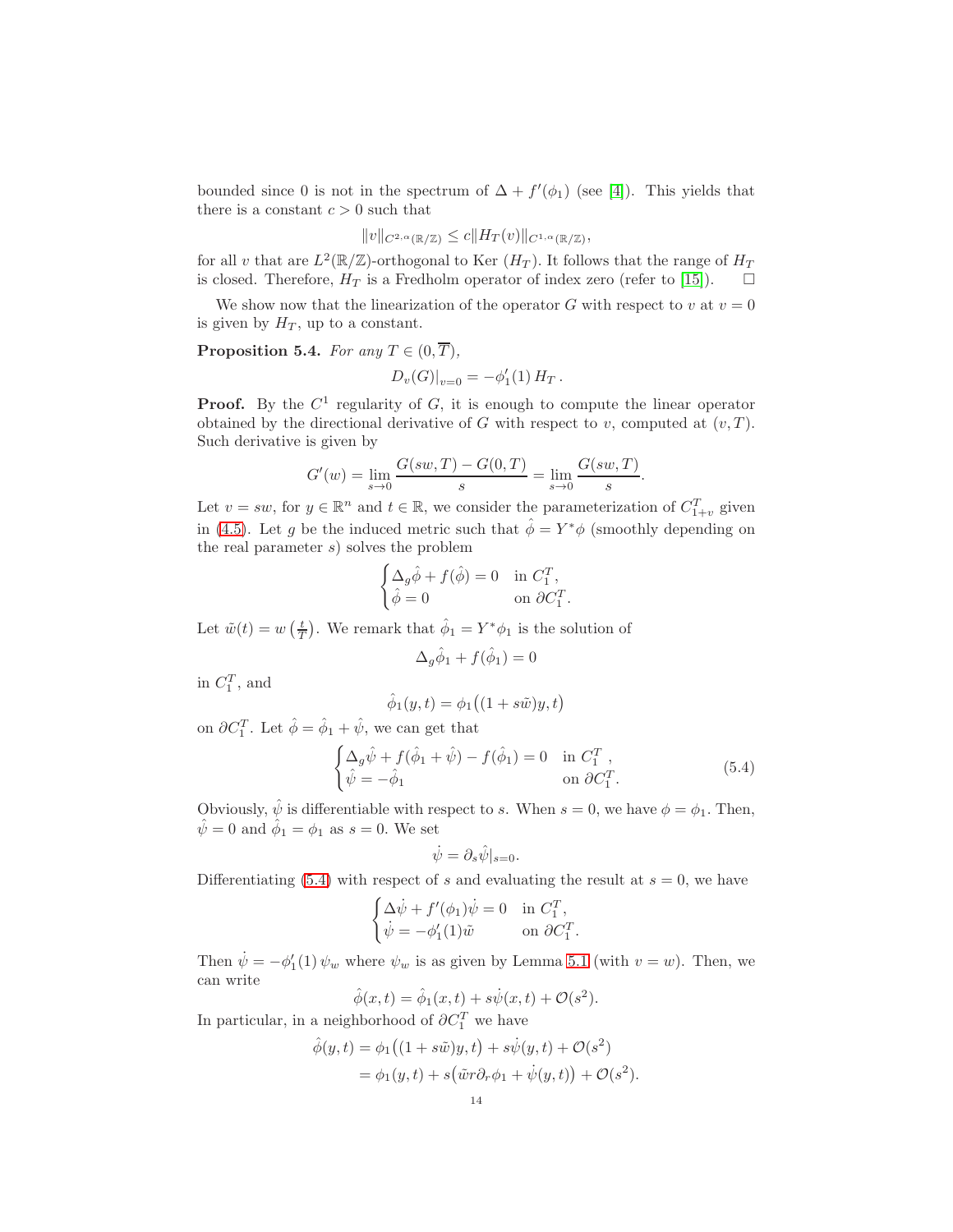bounded since 0 is not in the spectrum of  $\Delta + f'(\phi_1)$  (see [\[4\]](#page-18-9)). This yields that there is a constant  $c > 0$  such that

$$
||v||_{C^{2,\alpha}(\mathbb{R}/\mathbb{Z})} \leq c||H_T(v)||_{C^{1,\alpha}(\mathbb{R}/\mathbb{Z})},
$$

for all v that are  $L^2(\mathbb{R}/\mathbb{Z})$ -orthogonal to Ker  $(H_T)$ . It follows that the range of  $H_T$ is closed. Therefore,  $H_T$  is a Fredholm operator of index zero (refer to [\[15\]](#page-19-15)).  $\Box$ 

We show now that the linearization of the operator G with respect to v at  $v = 0$ is given by  $H_T$ , up to a constant.

<span id="page-13-1"></span>**Proposition 5.4.** For any  $T \in (0, \overline{T}),$ 

$$
D_v(G)|_{v=0} = -\phi'_1(1) H_T.
$$

**Proof.** By the  $C^1$  regularity of  $G$ , it is enough to compute the linear operator obtained by the directional derivative of G with respect to  $v$ , computed at  $(v, T)$ . Such derivative is given by

$$
G'(w) = \lim_{s \to 0} \frac{G(sw, T) - G(0, T)}{s} = \lim_{s \to 0} \frac{G(sw, T)}{s}.
$$

Let  $v = sw$ , for  $y \in \mathbb{R}^n$  and  $t \in \mathbb{R}$ , we consider the parameterization of  $C_{1+v}^T$  given in [\(4.5\)](#page-10-4). Let g be the induced metric such that  $\hat{\phi} = Y^* \phi$  (smoothly depending on the real parameter  $s$ ) solves the problem

$$
\begin{cases} \Delta_g \hat{\phi} + f(\hat{\phi}) = 0 & \text{in } C_1^T, \\ \hat{\phi} = 0 & \text{on } \partial C_1^T. \end{cases}
$$

Let  $\tilde{w}(t) = w\left(\frac{t}{T}\right)$ . We remark that  $\hat{\phi}_1 = Y^* \phi_1$  is the solution of

$$
\Delta_g \hat{\phi}_1 + f(\hat{\phi}_1) = 0
$$

in  $C_1^T$ , and

$$
\hat{\phi}_1(y,t) = \phi_1((1+s\tilde{w})y,t)
$$

on  $\partial C_1^T$ . Let  $\hat{\phi} = \hat{\phi}_1 + \hat{\psi}$ , we can get that

<span id="page-13-0"></span>
$$
\begin{cases} \Delta_g \hat{\psi} + f(\hat{\phi}_1 + \hat{\psi}) - f(\hat{\phi}_1) = 0 & \text{in } C_1^T, \\ \hat{\psi} = -\hat{\phi}_1 & \text{on } \partial C_1^T. \end{cases}
$$
\n(5.4)

.

Obviously,  $\hat{\psi}$  is differentiable with respect to s. When  $s = 0$ , we have  $\phi = \phi_1$ . Then,  $\hat{\psi} = 0$  and  $\hat{\phi}_1 = \phi_1$  as  $s = 0$ . We set

$$
\dot{\psi} = \partial_s \hat{\psi}|_{s=0}.
$$

Differentiating [\(5.4\)](#page-13-0) with respect of s and evaluating the result at  $s = 0$ , we have

$$
\begin{cases} \Delta \dot{\psi} + f'(\phi_1)\dot{\psi} = 0 & \text{in } C_1^T, \\ \dot{\psi} = -\phi'_1(1)\tilde{w} & \text{on } \partial C_1^T. \end{cases}
$$

Then  $\dot{\psi} = -\phi'_1(1) \psi_w$  where  $\psi_w$  is as given by Lemma [5.1](#page-11-1) (with  $v = w$ ). Then, we can write

$$
\hat{\phi}(x,t) = \hat{\phi}_1(x,t) + s\dot{\psi}(x,t) + \mathcal{O}(s^2).
$$

In particular, in a neighborhood of  $\partial C_1^T$  we have

$$
\hat{\phi}(y,t) = \phi_1((1+s\tilde{w})y,t) + s\dot{\psi}(y,t) + \mathcal{O}(s^2)
$$
  
= 
$$
\phi_1(y,t) + s(\tilde{w}r\partial_r\phi_1 + \dot{\psi}(y,t)) + \mathcal{O}(s^2).
$$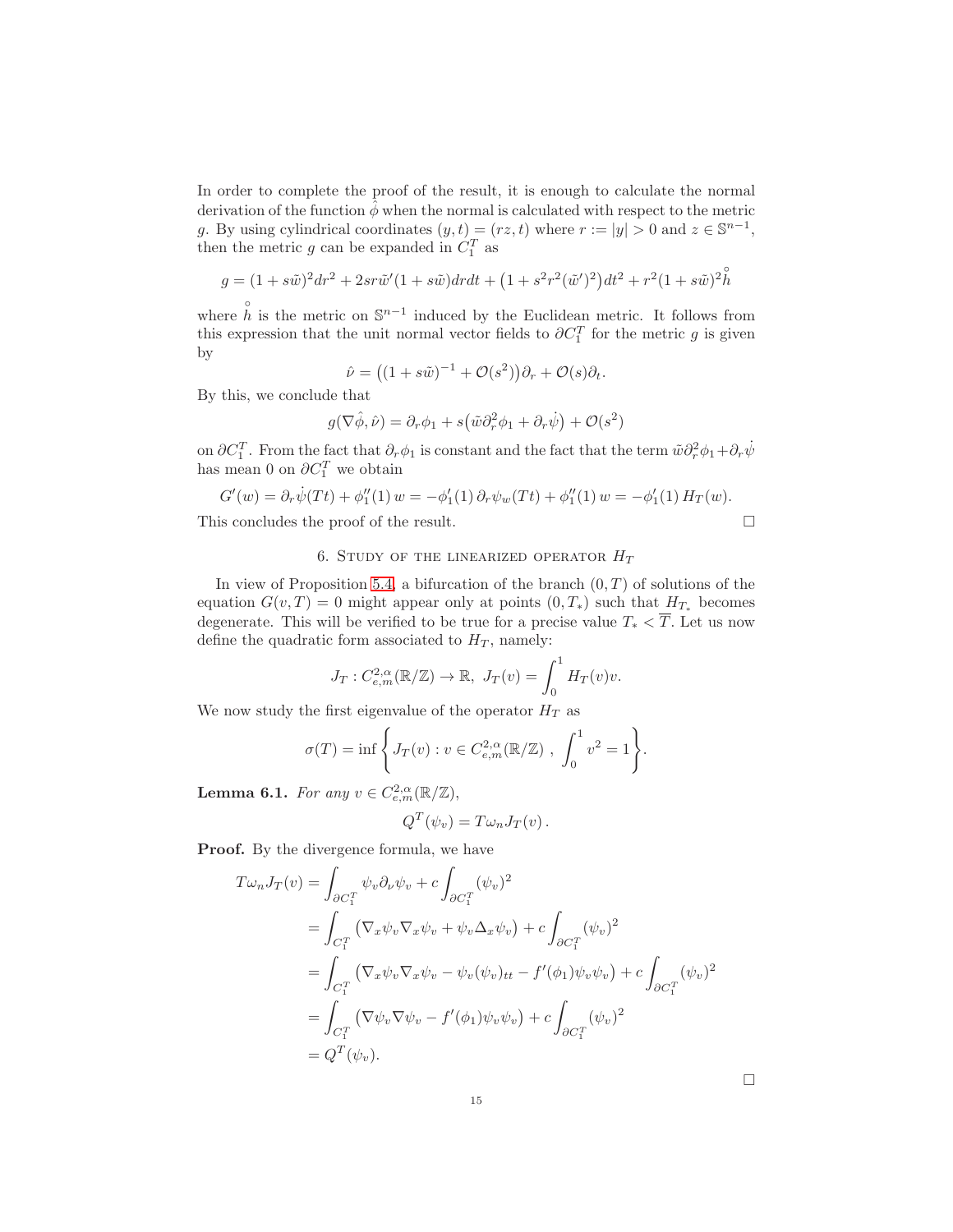In order to complete the proof of the result, it is enough to calculate the normal derivation of the function  $\phi$  when the normal is calculated with respect to the metric g. By using cylindrical coordinates  $(y, t) = (rz, t)$  where  $r := |y| > 0$  and  $z \in \mathbb{S}^{n-1}$ , then the metric  $g$  can be expanded in  $C_1^T$  as

$$
g = (1 + s\tilde{w})^2 dr^2 + 2sr\tilde{w}' (1 + s\tilde{w}) dr dt + (1 + s^2 r^2 (\tilde{w}')^2) dt^2 + r^2 (1 + s\tilde{w})^2 \tilde{h}
$$

where  $\hat{h}$  is the metric on  $\mathbb{S}^{n-1}$  induced by the Euclidean metric. It follows from this expression that the unit normal vector fields to  $\partial C_1^T$  for the metric g is given by

$$
\hat{\nu} = ((1 + s\tilde{w})^{-1} + \mathcal{O}(s^2))\partial_r + \mathcal{O}(s)\partial_t.
$$

By this, we conclude that

$$
g(\nabla \hat{\phi}, \hat{\nu}) = \partial_r \phi_1 + s(\tilde{\omega} \partial_r^2 \phi_1 + \partial_r \dot{\psi}) + \mathcal{O}(s^2)
$$

on  $\partial C_1^T$ . From the fact that  $\partial_r \phi_1$  is constant and the fact that the term  $\tilde{\omega} \partial_r^2 \phi_1 + \partial_r \dot{\psi}$ has mean 0 on  $\partial C_1^T$  we obtain

$$
G'(w) = \partial_r \dot{\psi}(Tt) + \phi_1''(1) w = -\phi_1'(1) \partial_r \psi_w(Tt) + \phi_1''(1) w = -\phi_1'(1) H_T(w).
$$
  
This concludes the proof of the result.

# 6. STUDY OF THE LINEARIZED OPERATOR  $H_T$

In view of Proposition [5.4,](#page-13-1) a bifurcation of the branch  $(0, T)$  of solutions of the equation  $G(v,T) = 0$  might appear only at points  $(0,T_*)$  such that  $H_{T_*}$  becomes degenerate. This will be verified to be true for a precise value  $T_* < \overline{T}$ . Let us now define the quadratic form associated to  $H_T$ , namely:

$$
J_T: C^{2,\alpha}_{e,m}(\mathbb{R}/\mathbb{Z}) \to \mathbb{R}, J_T(v) = \int_0^1 H_T(v)v.
$$

We now study the first eigenvalue of the operator  $H_T$  as

$$
\sigma(T) = \inf \left\{ J_T(v) : v \in C^{2,\alpha}_{e,m}(\mathbb{R}/\mathbb{Z}) , \int_0^1 v^2 = 1 \right\}.
$$

<span id="page-14-0"></span>**Lemma 6.1.** For any  $v \in C^{2,\alpha}_{e,m}(\mathbb{R}/\mathbb{Z}),$ 

$$
Q^T(\psi_v) = T\omega_n J_T(v).
$$

Proof. By the divergence formula, we have

$$
T\omega_n J_T(v) = \int_{\partial C_1^T} \psi_v \partial_\nu \psi_v + c \int_{\partial C_1^T} (\psi_v)^2
$$
  
\n
$$
= \int_{C_1^T} (\nabla_x \psi_v \nabla_x \psi_v + \psi_v \Delta_x \psi_v) + c \int_{\partial C_1^T} (\psi_v)^2
$$
  
\n
$$
= \int_{C_1^T} (\nabla_x \psi_v \nabla_x \psi_v - \psi_v(\psi_v)_{tt} - f'(\phi_1) \psi_v \psi_v) + c \int_{\partial C_1^T} (\psi_v)^2
$$
  
\n
$$
= \int_{C_1^T} (\nabla \psi_v \nabla \psi_v - f'(\phi_1) \psi_v \psi_v) + c \int_{\partial C_1^T} (\psi_v)^2
$$
  
\n
$$
= Q^T(\psi_v).
$$

 $\Box$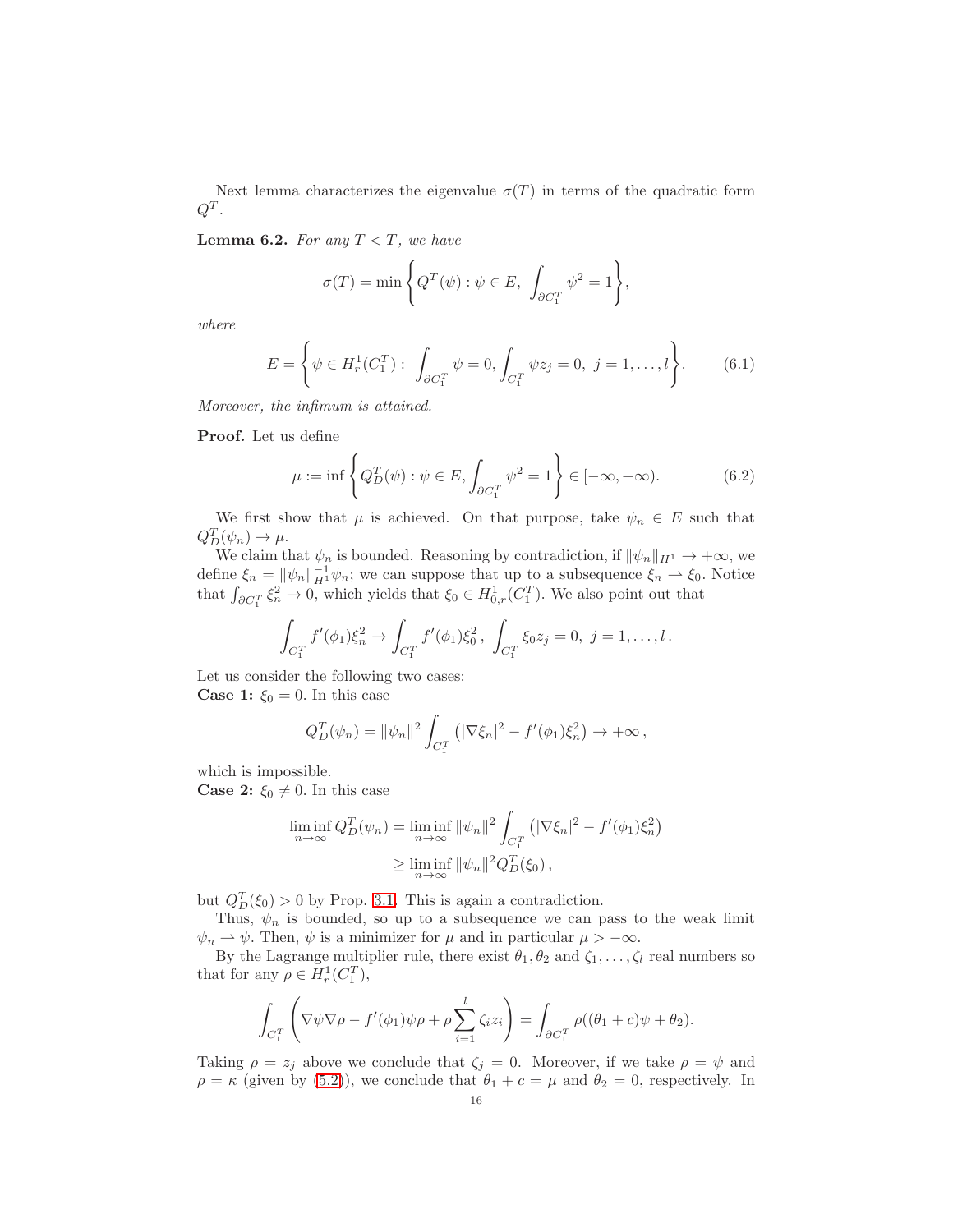Next lemma characterizes the eigenvalue  $\sigma(T)$  in terms of the quadratic form  $Q^T$  .

<span id="page-15-0"></span>**Lemma 6.2.** For any  $T < \overline{T}$ , we have

$$
\sigma(T) = \min \left\{ Q^T(\psi) : \psi \in E, \int_{\partial C_1^T} \psi^2 = 1 \right\},\
$$

where

$$
E = \left\{ \psi \in H_r^1(C_1^T) : \int_{\partial C_1^T} \psi = 0, \int_{C_1^T} \psi z_j = 0, \ j = 1, \dots, l \right\}.
$$
 (6.1)

Moreover, the infimum is attained.

Proof. Let us define

$$
\mu := \inf \left\{ Q_D^T(\psi) : \psi \in E, \int_{\partial C_1^T} \psi^2 = 1 \right\} \in [-\infty, +\infty). \tag{6.2}
$$

We first show that  $\mu$  is achieved. On that purpose, take  $\psi_n \in E$  such that  $Q_{D}^{T}(\psi_n) \rightarrow \mu.$ 

We claim that  $\psi_n$  is bounded. Reasoning by contradiction, if  $\|\psi_n\|_{H^1} \to +\infty$ , we define  $\xi_n = \| \psi_n \|_{H^1}^{-1} \psi_n$ ; we can suppose that up to a subsequence  $\xi_n \rightharpoonup \xi_0$ . Notice that  $\int_{\partial C_1^T} \xi_n^2 \to 0$ , which yields that  $\xi_0 \in H^1_{0,r}(C_1^T)$ . We also point out that

$$
\int_{C_1^T} f'(\phi_1) \xi_n^2 \to \int_{C_1^T} f'(\phi_1) \xi_0^2, \ \int_{C_1^T} \xi_0 z_j = 0, \ j = 1, \ldots, l \, .
$$

Let us consider the following two cases: **Case 1:**  $\xi_0 = 0$ . In this case

$$
Q_D^T(\psi_n) = \|\psi_n\|^2 \int_{C_1^T} (|\nabla \xi_n|^2 - f'(\phi_1)\xi_n^2) \to +\infty,
$$

which is impossible.

**Case 2:**  $\xi_0 \neq 0$ . In this case

$$
\liminf_{n \to \infty} Q_D^T(\psi_n) = \liminf_{n \to \infty} \|\psi_n\|^2 \int_{C_1^T} \left( |\nabla \xi_n|^2 - f'(\phi_1) \xi_n^2 \right) \leq \liminf_{n \to \infty} \|\psi_n\|^2 Q_D^T(\xi_0),
$$

but  $Q_D^T(\xi_0) > 0$  by Prop. [3.1.](#page-7-1) This is again a contradiction.

Thus,  $\psi_n$  is bounded, so up to a subsequence we can pass to the weak limit  $\psi_n \rightharpoonup \psi$ . Then,  $\psi$  is a minimizer for  $\mu$  and in particular  $\mu > -\infty$ .

By the Lagrange multiplier rule, there exist  $\theta_1, \theta_2$  and  $\zeta_1, \ldots, \zeta_l$  real numbers so that for any  $\rho \in H_r^1(C_1^T)$ ,

$$
\int_{C_1^T} \left( \nabla \psi \nabla \rho - f'(\phi_1) \psi \rho + \rho \sum_{i=1}^l \zeta_i z_i \right) = \int_{\partial C_1^T} \rho ((\theta_1 + c)\psi + \theta_2).
$$

Taking  $\rho = z_j$  above we conclude that  $\zeta_j = 0$ . Moreover, if we take  $\rho = \psi$  and  $\rho = \kappa$  (given by [\(5.2\)](#page-12-0)), we conclude that  $\theta_1 + c = \mu$  and  $\theta_2 = 0$ , respectively. In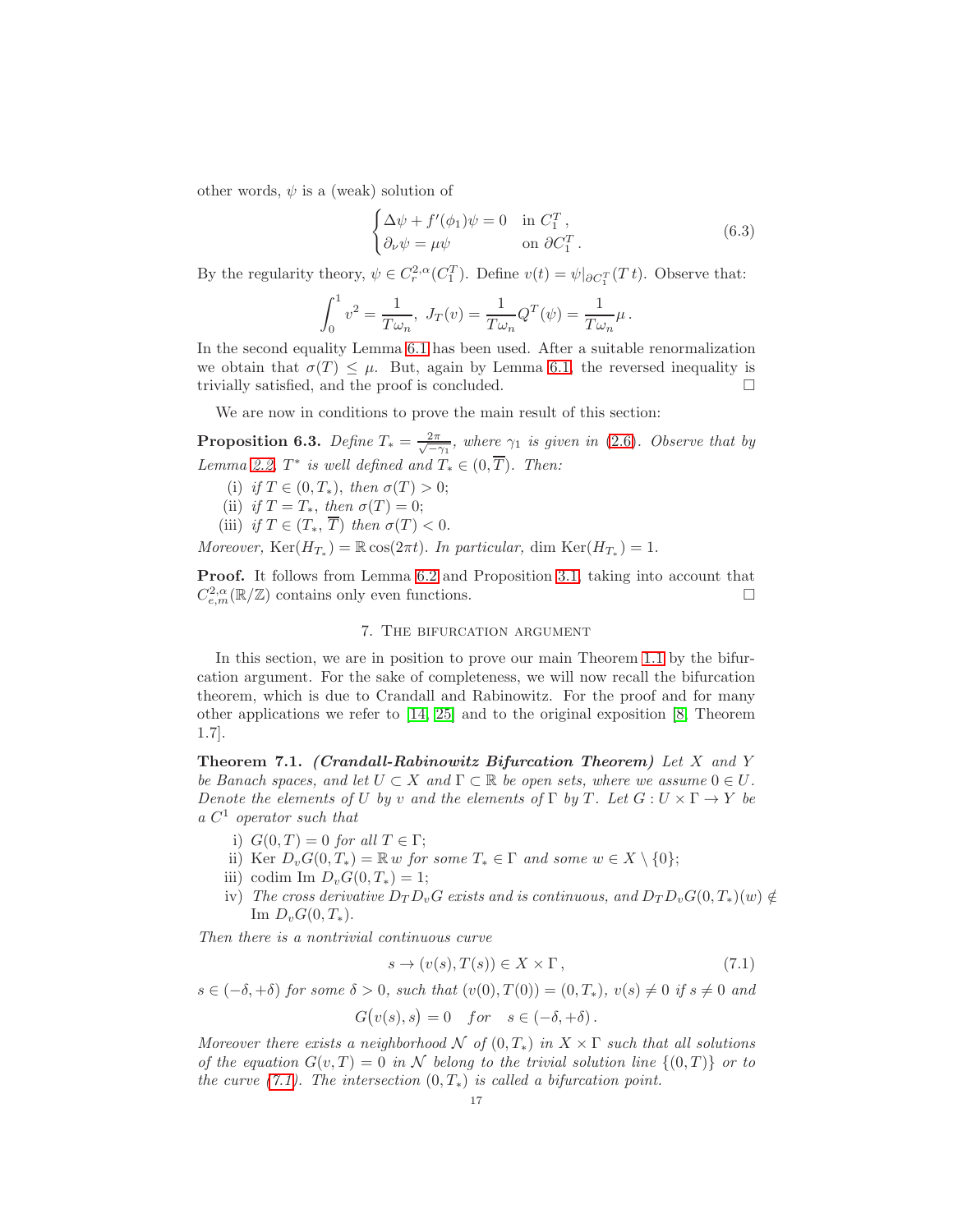other words,  $\psi$  is a (weak) solution of

$$
\begin{cases}\n\Delta \psi + f'(\phi_1)\psi = 0 & \text{in } C_1^T, \\
\partial_\nu \psi = \mu \psi & \text{on } \partial C_1^T.\n\end{cases}
$$
\n(6.3)

By the regularity theory,  $\psi \in C_r^{2,\alpha}(C_1^T)$ . Define  $v(t) = \psi|_{\partial C_1^T}(T_t)$ . Observe that:

$$
\int_0^1 v^2 = \frac{1}{T\omega_n}, \ J_T(v) = \frac{1}{T\omega_n} Q^T(\psi) = \frac{1}{T\omega_n} \mu \, .
$$

In the second equality Lemma [6.1](#page-14-0) has been used. After a suitable renormalization we obtain that  $\sigma(T) \leq \mu$ . But, again by Lemma [6.1,](#page-14-0) the reversed inequality is trivially satisfied, and the proof is concluded. trivially satisfied, and the proof is concluded.

We are now in conditions to prove the main result of this section:

<span id="page-16-2"></span>**Proposition 6.3.** Define  $T_* = \frac{2\pi}{\sqrt{-\gamma_1}}$ , where  $\gamma_1$  is given in [\(2.6\)](#page-4-2). Observe that by Lemma [2.2,](#page-4-7)  $T^*$  is well defined and  $T_* \in (0, T)$ . Then:

- (i) if  $T \in (0, T_*)$ , then  $\sigma(T) > 0$ ;
- (ii) if  $T = T_*$ , then  $\sigma(T) = 0$ ;
- (iii) if  $T \in (T_*, \overline{T})$  then  $\sigma(T) < 0$ .

Moreover,  $\text{Ker}(H_{T_*}) = \mathbb{R} \cos(2\pi t)$ . In particular, dim  $\text{Ker}(H_{T_*}) = 1$ .

<span id="page-16-0"></span>Proof. It follows from Lemma [6.2](#page-15-0) and Proposition [3.1,](#page-7-1) taking into account that  $C_{e,m}^{2,\alpha}(\mathbb{R}/\mathbb{Z})$  contains only even functions.

## 7. The bifurcation argument

In this section, we are in position to prove our main Theorem [1.1](#page-2-1) by the bifurcation argument. For the sake of completeness, we will now recall the bifurcation theorem, which is due to Crandall and Rabinowitz. For the proof and for many other applications we refer to [\[14,](#page-19-16) [25\]](#page-19-17) and to the original exposition [\[8,](#page-18-10) Theorem 1.7].

Theorem 7.1. (Crandall-Rabinowitz Bifurcation Theorem) Let  $X$  and  $Y$ be Banach spaces, and let  $U \subset X$  and  $\Gamma \subset \mathbb{R}$  be open sets, where we assume  $0 \in U$ . Denote the elements of U by v and the elements of  $\Gamma$  by T. Let  $G: U \times \Gamma \to Y$  be  $a\ C^1$  operator such that

- i)  $G(0,T) = 0$  for all  $T \in \Gamma$ ;
- ii) Ker  $D_vG(0,T_*) = \mathbb{R} w$  for some  $T_* \in \Gamma$  and some  $w \in X \setminus \{0\};$
- iii) codim Im  $D_vG(0,T_*)=1$ ;
- iv) The cross derivative  $D_T D_v G$  exists and is continuous, and  $D_T D_v G(0, T_*)(w) \notin$ Im  $D_v G(0, T_*)$ .

Then there is a nontrivial continuous curve

<span id="page-16-1"></span>
$$
s \to (v(s), T(s)) \in X \times \Gamma, \tag{7.1}
$$

 $s \in (-\delta, +\delta)$  for some  $\delta > 0$ , such that  $(v(0), T(0)) = (0, T_*)$ ,  $v(s) \neq 0$  if  $s \neq 0$  and

$$
G(v(s),s) = 0 \quad for \quad s \in (-\delta, +\delta).
$$

Moreover there exists a neighborhood  $\mathcal N$  of  $(0,T_*)$  in  $X \times \Gamma$  such that all solutions of the equation  $G(v, T) = 0$  in N belong to the trivial solution line  $\{(0, T)\}\$ or to the curve  $(7.1)$ . The intersection  $(0, T_*)$  is called a bifurcation point.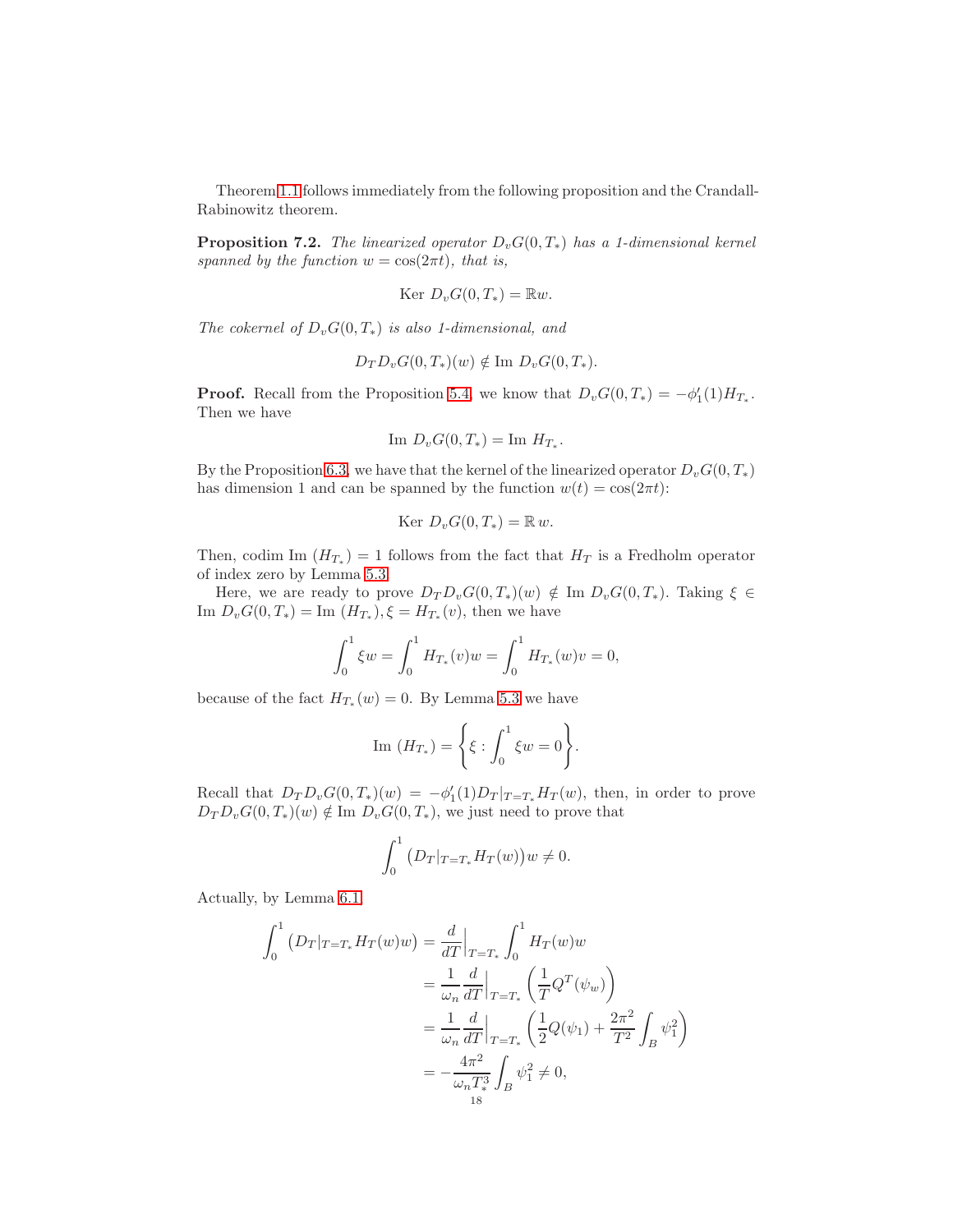Theorem [1.1](#page-2-1) follows immediately from the following proposition and the Crandall-Rabinowitz theorem.

**Proposition 7.2.** The linearized operator  $D_vG(0,T_*)$  has a 1-dimensional kernel spanned by the function  $w = \cos(2\pi t)$ , that is,

$$
Ker D_v G(0,T_*) = \mathbb{R}w.
$$

The cokernel of  $D_vG(0,T_*)$  is also 1-dimensional, and

$$
D_T D_v G(0,T_*)(w) \notin \text{Im } D_v G(0,T_*).
$$

**Proof.** Recall from the Proposition [5.4,](#page-13-1) we know that  $D_vG(0,T_*) = -\phi'_1(1)H_{T_*}.$ Then we have

$$
\text{Im } D_v G(0, T_*) = \text{Im } H_{T_*}.
$$

By the Proposition [6.3,](#page-16-2) we have that the kernel of the linearized operator  $D_vG(0, T_*)$ has dimension 1 and can be spanned by the function  $w(t) = \cos(2\pi t)$ :

$$
Ker D_v G(0,T_*) = \mathbb{R} w.
$$

Then, codim Im  $(H_{T_*}) = 1$  follows from the fact that  $H_T$  is a Fredholm operator of index zero by Lemma [5.3.](#page-12-1)

Here, we are ready to prove  $D_T D_v G(0, T_*)(w) \notin \text{Im } D_v G(0, T_*)$ . Taking  $\xi \in$ Im  $D_v G(0, T_*) = \text{Im}(H_{T_*}), \xi = H_{T_*}(v)$ , then we have

$$
\int_0^1 \xi w = \int_0^1 H_{T_*}(v)w = \int_0^1 H_{T_*}(w)v = 0,
$$

because of the fact  $H_{T_*}(w) = 0$ . By Lemma [5.3](#page-12-1) we have

Im 
$$
(H_{T_*}) = \left\{ \xi : \int_0^1 \xi w = 0 \right\}.
$$

Recall that  $D_T D_v G(0,T_*)(w) = -\phi'_1(1)D_T |_{T=T_*} H_T(w)$ , then, in order to prove  $D_T D_v G(0,T_*)(w) \notin \text{Im } D_v G(0,T_*),$  we just need to prove that

$$
\int_0^1 \left( D_T |_{T=T_*} H_T(w) \right) w \neq 0.
$$

Actually, by Lemma [6.1,](#page-14-0)

$$
\int_{0}^{1} (D_{T}|_{T=T_{*}} H_{T}(w)w) = \frac{d}{dT}\Big|_{T=T_{*}} \int_{0}^{1} H_{T}(w)w
$$
  

$$
= \frac{1}{\omega_{n}} \frac{d}{dT}\Big|_{T=T_{*}} \left(\frac{1}{T}Q^{T}(\psi_{w})\right)
$$
  

$$
= \frac{1}{\omega_{n}} \frac{d}{dT}\Big|_{T=T_{*}} \left(\frac{1}{2}Q(\psi_{1}) + \frac{2\pi^{2}}{T^{2}} \int_{B} \psi_{1}^{2}\right)
$$
  

$$
= -\frac{4\pi^{2}}{\omega_{n} T_{*}^{3}} \int_{B} \psi_{1}^{2} \neq 0,
$$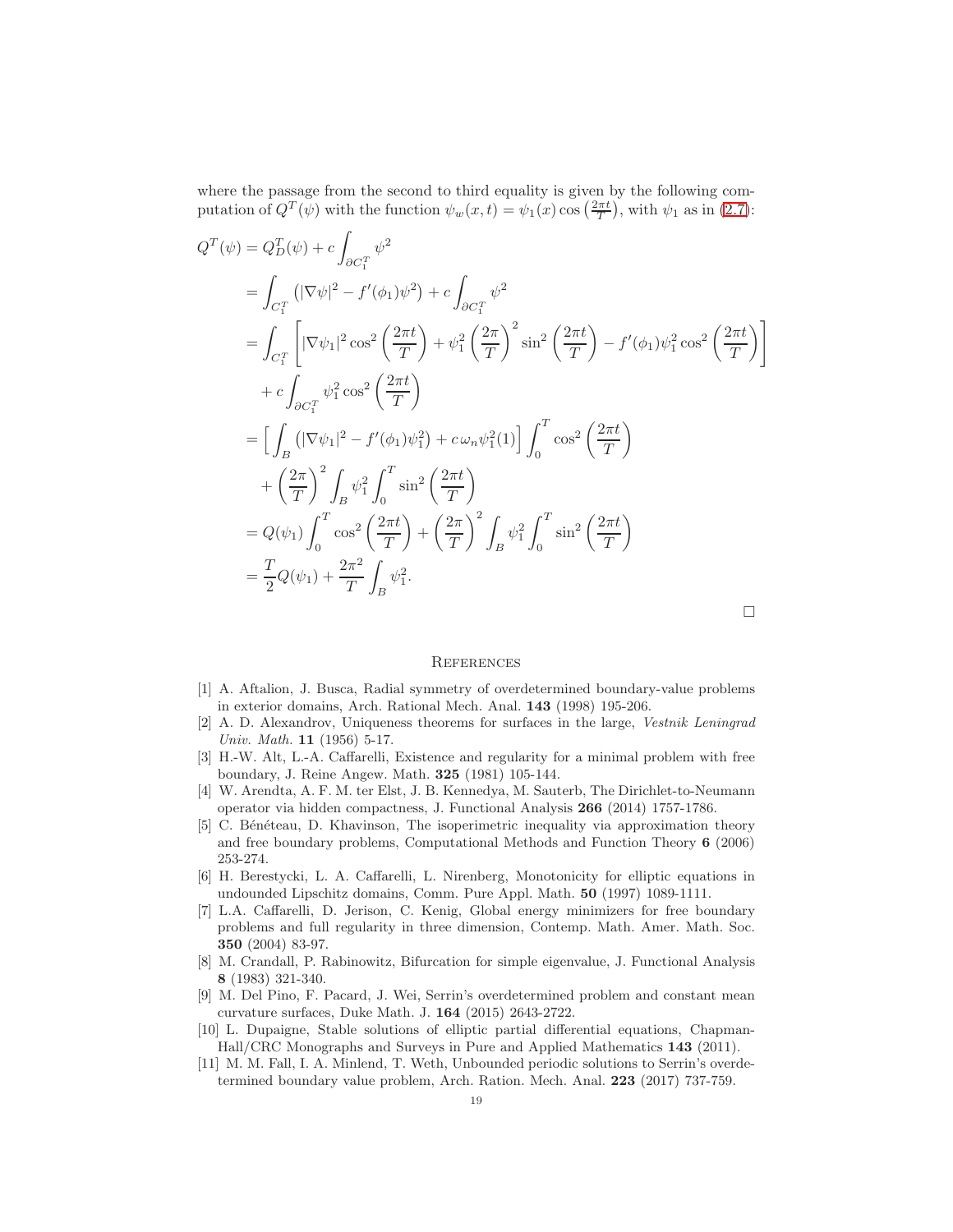where the passage from the second to third equality is given by the following computation of  $Q^T(\psi)$  with the function  $\psi_w(x,t) = \psi_1(x) \cos\left(\frac{2\pi t}{T}\right)$ , with  $\psi_1$  as in [\(2.7\)](#page-4-4):

$$
Q^{T}(\psi) = Q_{D}^{T}(\psi) + c \int_{\partial C_{1}^{T}} \psi^{2}
$$
  
\n
$$
= \int_{C_{1}^{T}} (|\nabla \psi|^{2} - f'(\phi_{1})\psi^{2}) + c \int_{\partial C_{1}^{T}} \psi^{2}
$$
  
\n
$$
= \int_{C_{1}^{T}} [|\nabla \psi_{1}|^{2} \cos^{2}(\frac{2\pi t}{T}) + \psi_{1}^{2}(\frac{2\pi}{T})^{2} \sin^{2}(\frac{2\pi t}{T}) - f'(\phi_{1})\psi_{1}^{2} \cos^{2}(\frac{2\pi t}{T})]
$$
  
\n
$$
+ c \int_{\partial C_{1}^{T}} \psi_{1}^{2} \cos^{2}(\frac{2\pi t}{T})
$$
  
\n
$$
= [\int_{B} (|\nabla \psi_{1}|^{2} - f'(\phi_{1})\psi_{1}^{2}) + c \omega_{n} \psi_{1}^{2}(1)] \int_{0}^{T} \cos^{2}(\frac{2\pi t}{T})
$$
  
\n
$$
+ (\frac{2\pi}{T})^{2} \int_{B} \psi_{1}^{2} \int_{0}^{T} \sin^{2}(\frac{2\pi t}{T})
$$
  
\n
$$
= Q(\psi_{1}) \int_{0}^{T} \cos^{2}(\frac{2\pi t}{T}) + (\frac{2\pi}{T})^{2} \int_{B} \psi_{1}^{2} \int_{0}^{T} \sin^{2}(\frac{2\pi t}{T})
$$
  
\n
$$
= \frac{T}{2} Q(\psi_{1}) + \frac{2\pi^{2}}{T} \int_{B} \psi_{1}^{2}.
$$

#### **REFERENCES**

- <span id="page-18-5"></span>[1] A. Aftalion, J. Busca, Radial symmetry of overdetermined boundary-value problems in exterior domains, Arch. Rational Mech. Anal. 143 (1998) 195-206.
- <span id="page-18-0"></span>[2] A. D. Alexandrov, Uniqueness theorems for surfaces in the large, Vestnik Leningrad Univ. Math. 11 (1956) 5-17.
- <span id="page-18-2"></span>[3] H.-W. Alt, L.-A. Caffarelli, Existence and regularity for a minimal problem with free boundary, J. Reine Angew. Math. 325 (1981) 105-144.
- <span id="page-18-9"></span>[4] W. Arendta, A. F. M. ter Elst, J. B. Kennedya, M. Sauterb, The Dirichlet-to-Neumann operator via hidden compactness, J. Functional Analysis 266 (2014) 1757-1786.
- <span id="page-18-1"></span>[5] C. Bénéteau, D. Khavinson, The isoperimetric inequality via approximation theory and free boundary problems, Computational Methods and Function Theory 6 (2006) 253-274.
- <span id="page-18-4"></span>[6] H. Berestycki, L. A. Caffarelli, L. Nirenberg, Monotonicity for elliptic equations in undounded Lipschitz domains, Comm. Pure Appl. Math. 50 (1997) 1089-1111.
- <span id="page-18-3"></span>[7] L.A. Caffarelli, D. Jerison, C. Kenig, Global energy minimizers for free boundary problems and full regularity in three dimension, Contemp. Math. Amer. Math. Soc. 350 (2004) 83-97.
- <span id="page-18-10"></span>[8] M. Crandall, P. Rabinowitz, Bifurcation for simple eigenvalue, J. Functional Analysis 8 (1983) 321-340.
- <span id="page-18-7"></span>[9] M. Del Pino, F. Pacard, J. Wei, Serrin's overdetermined problem and constant mean curvature surfaces, Duke Math. J. 164 (2015) 2643-2722.
- <span id="page-18-8"></span>[10] L. Dupaigne, Stable solutions of elliptic partial differential equations, Chapman-Hall/CRC Monographs and Surveys in Pure and Applied Mathematics 143 (2011).
- <span id="page-18-6"></span>[11] M. M. Fall, I. A. Minlend, T. Weth, Unbounded periodic solutions to Serrin's overdetermined boundary value problem, Arch. Ration. Mech. Anal. 223 (2017) 737-759.